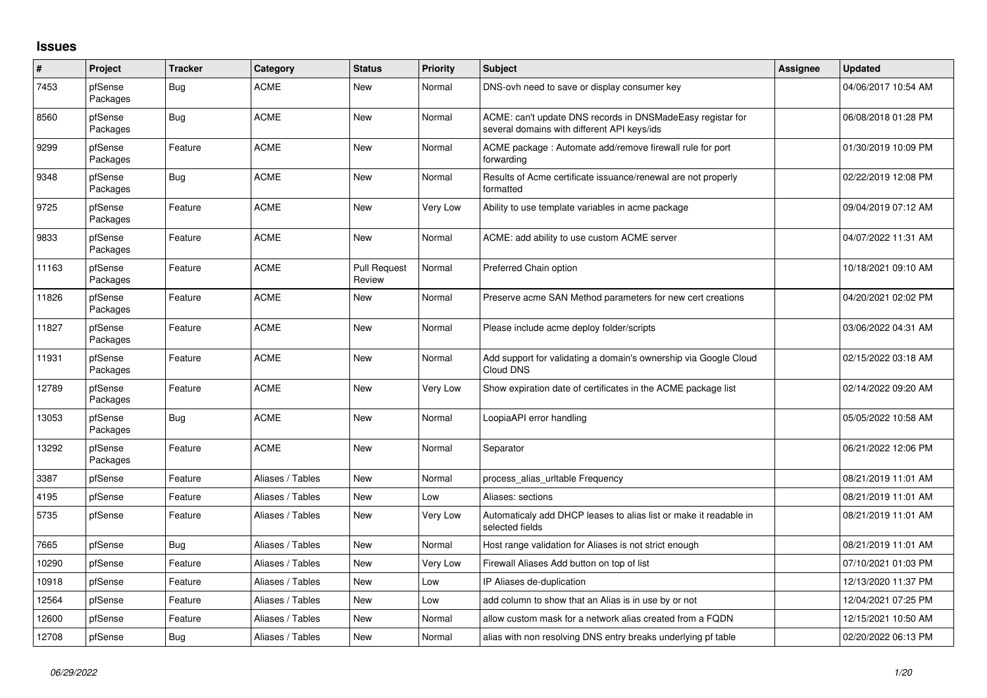## **Issues**

| #     | Project             | <b>Tracker</b> | Category         | <b>Status</b>                 | <b>Priority</b> | <b>Subject</b>                                                                                            | <b>Assignee</b> | <b>Updated</b>      |
|-------|---------------------|----------------|------------------|-------------------------------|-----------------|-----------------------------------------------------------------------------------------------------------|-----------------|---------------------|
| 7453  | pfSense<br>Packages | <b>Bug</b>     | <b>ACME</b>      | <b>New</b>                    | Normal          | DNS-ovh need to save or display consumer key                                                              |                 | 04/06/2017 10:54 AM |
| 8560  | pfSense<br>Packages | <b>Bug</b>     | <b>ACME</b>      | <b>New</b>                    | Normal          | ACME: can't update DNS records in DNSMadeEasy registar for<br>several domains with different API keys/ids |                 | 06/08/2018 01:28 PM |
| 9299  | pfSense<br>Packages | Feature        | <b>ACME</b>      | New                           | Normal          | ACME package: Automate add/remove firewall rule for port<br>forwarding                                    |                 | 01/30/2019 10:09 PM |
| 9348  | pfSense<br>Packages | <b>Bug</b>     | <b>ACME</b>      | <b>New</b>                    | Normal          | Results of Acme certificate issuance/renewal are not properly<br>formatted                                |                 | 02/22/2019 12:08 PM |
| 9725  | pfSense<br>Packages | Feature        | <b>ACME</b>      | <b>New</b>                    | Very Low        | Ability to use template variables in acme package                                                         |                 | 09/04/2019 07:12 AM |
| 9833  | pfSense<br>Packages | Feature        | <b>ACME</b>      | <b>New</b>                    | Normal          | ACME: add ability to use custom ACME server                                                               |                 | 04/07/2022 11:31 AM |
| 11163 | pfSense<br>Packages | Feature        | <b>ACME</b>      | <b>Pull Request</b><br>Review | Normal          | Preferred Chain option                                                                                    |                 | 10/18/2021 09:10 AM |
| 11826 | pfSense<br>Packages | Feature        | <b>ACME</b>      | <b>New</b>                    | Normal          | Preserve acme SAN Method parameters for new cert creations                                                |                 | 04/20/2021 02:02 PM |
| 11827 | pfSense<br>Packages | Feature        | <b>ACME</b>      | <b>New</b>                    | Normal          | Please include acme deploy folder/scripts                                                                 |                 | 03/06/2022 04:31 AM |
| 11931 | pfSense<br>Packages | Feature        | <b>ACME</b>      | <b>New</b>                    | Normal          | Add support for validating a domain's ownership via Google Cloud<br>Cloud DNS                             |                 | 02/15/2022 03:18 AM |
| 12789 | pfSense<br>Packages | Feature        | <b>ACME</b>      | <b>New</b>                    | Very Low        | Show expiration date of certificates in the ACME package list                                             |                 | 02/14/2022 09:20 AM |
| 13053 | pfSense<br>Packages | <b>Bug</b>     | <b>ACME</b>      | <b>New</b>                    | Normal          | LoopiaAPI error handling                                                                                  |                 | 05/05/2022 10:58 AM |
| 13292 | pfSense<br>Packages | Feature        | <b>ACME</b>      | <b>New</b>                    | Normal          | Separator                                                                                                 |                 | 06/21/2022 12:06 PM |
| 3387  | pfSense             | Feature        | Aliases / Tables | <b>New</b>                    | Normal          | process_alias_urItable Frequency                                                                          |                 | 08/21/2019 11:01 AM |
| 4195  | pfSense             | Feature        | Aliases / Tables | <b>New</b>                    | Low             | Aliases: sections                                                                                         |                 | 08/21/2019 11:01 AM |
| 5735  | pfSense             | Feature        | Aliases / Tables | New                           | Very Low        | Automaticaly add DHCP leases to alias list or make it readable in<br>selected fields                      |                 | 08/21/2019 11:01 AM |
| 7665  | pfSense             | <b>Bug</b>     | Aliases / Tables | <b>New</b>                    | Normal          | Host range validation for Aliases is not strict enough                                                    |                 | 08/21/2019 11:01 AM |
| 10290 | pfSense             | Feature        | Aliases / Tables | <b>New</b>                    | Very Low        | Firewall Aliases Add button on top of list                                                                |                 | 07/10/2021 01:03 PM |
| 10918 | pfSense             | Feature        | Aliases / Tables | New                           | Low             | IP Aliases de-duplication                                                                                 |                 | 12/13/2020 11:37 PM |
| 12564 | pfSense             | Feature        | Aliases / Tables | New                           | Low             | add column to show that an Alias is in use by or not                                                      |                 | 12/04/2021 07:25 PM |
| 12600 | pfSense             | Feature        | Aliases / Tables | <b>New</b>                    | Normal          | allow custom mask for a network alias created from a FQDN                                                 |                 | 12/15/2021 10:50 AM |
| 12708 | pfSense             | Bug            | Aliases / Tables | <b>New</b>                    | Normal          | alias with non resolving DNS entry breaks underlying pf table                                             |                 | 02/20/2022 06:13 PM |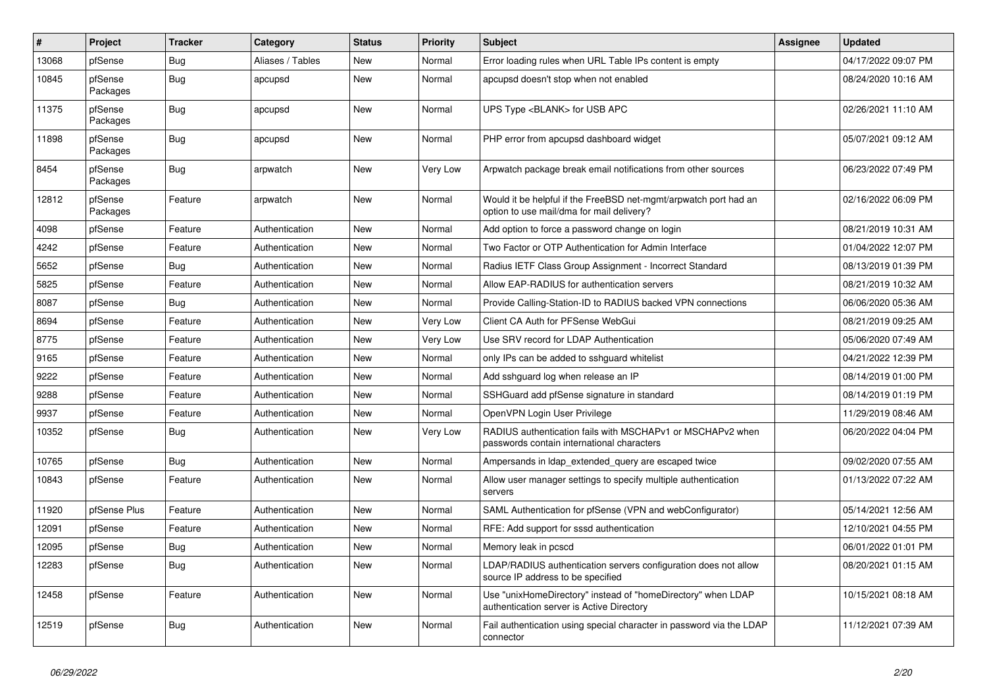| $\vert$ # | Project             | <b>Tracker</b> | Category         | <b>Status</b> | <b>Priority</b> | <b>Subject</b>                                                                                                | Assignee | <b>Updated</b>      |
|-----------|---------------------|----------------|------------------|---------------|-----------------|---------------------------------------------------------------------------------------------------------------|----------|---------------------|
| 13068     | pfSense             | <b>Bug</b>     | Aliases / Tables | <b>New</b>    | Normal          | Error loading rules when URL Table IPs content is empty                                                       |          | 04/17/2022 09:07 PM |
| 10845     | pfSense<br>Packages | <b>Bug</b>     | apcupsd          | New           | Normal          | apcupsd doesn't stop when not enabled                                                                         |          | 08/24/2020 10:16 AM |
| 11375     | pfSense<br>Packages | Bug            | apcupsd          | New           | Normal          | UPS Type <blank> for USB APC</blank>                                                                          |          | 02/26/2021 11:10 AM |
| 11898     | pfSense<br>Packages | <b>Bug</b>     | apcupsd          | <b>New</b>    | Normal          | PHP error from apcupsd dashboard widget                                                                       |          | 05/07/2021 09:12 AM |
| 8454      | pfSense<br>Packages | <b>Bug</b>     | arpwatch         | <b>New</b>    | <b>Very Low</b> | Arpwatch package break email notifications from other sources                                                 |          | 06/23/2022 07:49 PM |
| 12812     | pfSense<br>Packages | Feature        | arpwatch         | <b>New</b>    | Normal          | Would it be helpful if the FreeBSD net-mgmt/arpwatch port had an<br>option to use mail/dma for mail delivery? |          | 02/16/2022 06:09 PM |
| 4098      | pfSense             | Feature        | Authentication   | New           | Normal          | Add option to force a password change on login                                                                |          | 08/21/2019 10:31 AM |
| 4242      | pfSense             | Feature        | Authentication   | <b>New</b>    | Normal          | Two Factor or OTP Authentication for Admin Interface                                                          |          | 01/04/2022 12:07 PM |
| 5652      | pfSense             | <b>Bug</b>     | Authentication   | <b>New</b>    | Normal          | Radius IETF Class Group Assignment - Incorrect Standard                                                       |          | 08/13/2019 01:39 PM |
| 5825      | pfSense             | Feature        | Authentication   | New           | Normal          | Allow EAP-RADIUS for authentication servers                                                                   |          | 08/21/2019 10:32 AM |
| 8087      | pfSense             | Bug            | Authentication   | New           | Normal          | Provide Calling-Station-ID to RADIUS backed VPN connections                                                   |          | 06/06/2020 05:36 AM |
| 8694      | pfSense             | Feature        | Authentication   | <b>New</b>    | Very Low        | Client CA Auth for PFSense WebGui                                                                             |          | 08/21/2019 09:25 AM |
| 8775      | pfSense             | Feature        | Authentication   | New           | Very Low        | Use SRV record for LDAP Authentication                                                                        |          | 05/06/2020 07:49 AM |
| 9165      | pfSense             | Feature        | Authentication   | New           | Normal          | only IPs can be added to sshguard whitelist                                                                   |          | 04/21/2022 12:39 PM |
| 9222      | pfSense             | Feature        | Authentication   | New           | Normal          | Add sshguard log when release an IP                                                                           |          | 08/14/2019 01:00 PM |
| 9288      | pfSense             | Feature        | Authentication   | New           | Normal          | SSHGuard add pfSense signature in standard                                                                    |          | 08/14/2019 01:19 PM |
| 9937      | pfSense             | Feature        | Authentication   | New           | Normal          | OpenVPN Login User Privilege                                                                                  |          | 11/29/2019 08:46 AM |
| 10352     | pfSense             | Bug            | Authentication   | New           | Very Low        | RADIUS authentication fails with MSCHAPv1 or MSCHAPv2 when<br>passwords contain international characters      |          | 06/20/2022 04:04 PM |
| 10765     | pfSense             | Bug            | Authentication   | <b>New</b>    | Normal          | Ampersands in Idap extended query are escaped twice                                                           |          | 09/02/2020 07:55 AM |
| 10843     | pfSense             | Feature        | Authentication   | New           | Normal          | Allow user manager settings to specify multiple authentication<br>servers                                     |          | 01/13/2022 07:22 AM |
| 11920     | pfSense Plus        | Feature        | Authentication   | <b>New</b>    | Normal          | SAML Authentication for pfSense (VPN and webConfigurator)                                                     |          | 05/14/2021 12:56 AM |
| 12091     | pfSense             | Feature        | Authentication   | New           | Normal          | RFE: Add support for sssd authentication                                                                      |          | 12/10/2021 04:55 PM |
| 12095     | pfSense             | <b>Bug</b>     | Authentication   | New           | Normal          | Memory leak in pcscd                                                                                          |          | 06/01/2022 01:01 PM |
| 12283     | pfSense             | <b>Bug</b>     | Authentication   | New           | Normal          | LDAP/RADIUS authentication servers configuration does not allow<br>source IP address to be specified          |          | 08/20/2021 01:15 AM |
| 12458     | pfSense             | Feature        | Authentication   | <b>New</b>    | Normal          | Use "unixHomeDirectory" instead of "homeDirectory" when LDAP<br>authentication server is Active Directory     |          | 10/15/2021 08:18 AM |
| 12519     | pfSense             | <b>Bug</b>     | Authentication   | <b>New</b>    | Normal          | Fail authentication using special character in password via the LDAP<br>connector                             |          | 11/12/2021 07:39 AM |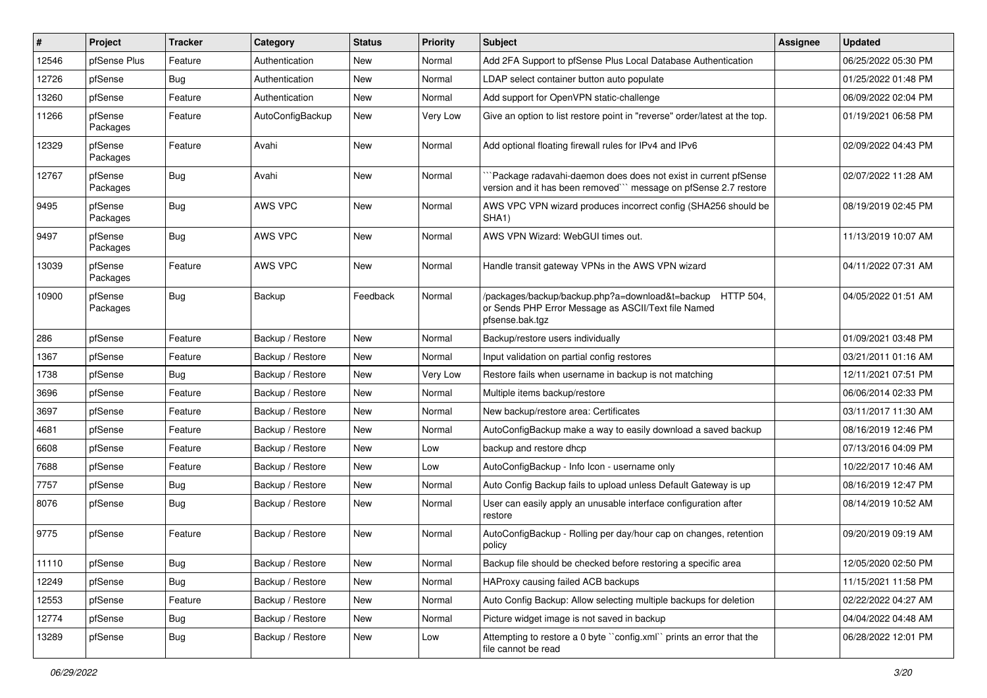| $\vert$ # | Project             | <b>Tracker</b> | Category         | <b>Status</b> | <b>Priority</b> | Subject                                                                                                                              | <b>Assignee</b> | <b>Updated</b>      |
|-----------|---------------------|----------------|------------------|---------------|-----------------|--------------------------------------------------------------------------------------------------------------------------------------|-----------------|---------------------|
| 12546     | pfSense Plus        | Feature        | Authentication   | New           | Normal          | Add 2FA Support to pfSense Plus Local Database Authentication                                                                        |                 | 06/25/2022 05:30 PM |
| 12726     | pfSense             | <b>Bug</b>     | Authentication   | New           | Normal          | LDAP select container button auto populate                                                                                           |                 | 01/25/2022 01:48 PM |
| 13260     | pfSense             | Feature        | Authentication   | New           | Normal          | Add support for OpenVPN static-challenge                                                                                             |                 | 06/09/2022 02:04 PM |
| 11266     | pfSense<br>Packages | Feature        | AutoConfigBackup | New           | Very Low        | Give an option to list restore point in "reverse" order/latest at the top.                                                           |                 | 01/19/2021 06:58 PM |
| 12329     | pfSense<br>Packages | Feature        | Avahi            | New           | Normal          | Add optional floating firewall rules for IPv4 and IPv6                                                                               |                 | 02/09/2022 04:43 PM |
| 12767     | pfSense<br>Packages | <b>Bug</b>     | Avahi            | New           | Normal          | `Package radavahi-daemon does does not exist in current pfSense<br>version and it has been removed``` message on pfSense 2.7 restore |                 | 02/07/2022 11:28 AM |
| 9495      | pfSense<br>Packages | Bug            | AWS VPC          | New           | Normal          | AWS VPC VPN wizard produces incorrect config (SHA256 should be<br>SHA <sub>1</sub> )                                                 |                 | 08/19/2019 02:45 PM |
| 9497      | pfSense<br>Packages | Bug            | AWS VPC          | New           | Normal          | AWS VPN Wizard: WebGUI times out.                                                                                                    |                 | 11/13/2019 10:07 AM |
| 13039     | pfSense<br>Packages | Feature        | AWS VPC          | New           | Normal          | Handle transit gateway VPNs in the AWS VPN wizard                                                                                    |                 | 04/11/2022 07:31 AM |
| 10900     | pfSense<br>Packages | Bug            | Backup           | Feedback      | Normal          | /packages/backup/backup.php?a=download&t=backup HTTP 504,<br>or Sends PHP Error Message as ASCII/Text file Named<br>pfsense.bak.tgz  |                 | 04/05/2022 01:51 AM |
| 286       | pfSense             | Feature        | Backup / Restore | New           | Normal          | Backup/restore users individually                                                                                                    |                 | 01/09/2021 03:48 PM |
| 1367      | pfSense             | Feature        | Backup / Restore | New           | Normal          | Input validation on partial config restores                                                                                          |                 | 03/21/2011 01:16 AM |
| 1738      | pfSense             | <b>Bug</b>     | Backup / Restore | New           | Very Low        | Restore fails when username in backup is not matching                                                                                |                 | 12/11/2021 07:51 PM |
| 3696      | pfSense             | Feature        | Backup / Restore | New           | Normal          | Multiple items backup/restore                                                                                                        |                 | 06/06/2014 02:33 PM |
| 3697      | pfSense             | Feature        | Backup / Restore | New           | Normal          | New backup/restore area: Certificates                                                                                                |                 | 03/11/2017 11:30 AM |
| 4681      | pfSense             | Feature        | Backup / Restore | New           | Normal          | AutoConfigBackup make a way to easily download a saved backup                                                                        |                 | 08/16/2019 12:46 PM |
| 6608      | pfSense             | Feature        | Backup / Restore | New           | Low             | backup and restore dhcp                                                                                                              |                 | 07/13/2016 04:09 PM |
| 7688      | pfSense             | Feature        | Backup / Restore | New           | Low             | AutoConfigBackup - Info Icon - username only                                                                                         |                 | 10/22/2017 10:46 AM |
| 7757      | pfSense             | <b>Bug</b>     | Backup / Restore | New           | Normal          | Auto Config Backup fails to upload unless Default Gateway is up                                                                      |                 | 08/16/2019 12:47 PM |
| 8076      | pfSense             | Bug            | Backup / Restore | New           | Normal          | User can easily apply an unusable interface configuration after<br>restore                                                           |                 | 08/14/2019 10:52 AM |
| 9775      | pfSense             | Feature        | Backup / Restore | New           | Normal          | AutoConfigBackup - Rolling per day/hour cap on changes, retention<br>policy                                                          |                 | 09/20/2019 09:19 AM |
| 11110     | pfSense             | Bug            | Backup / Restore | New           | Normal          | Backup file should be checked before restoring a specific area                                                                       |                 | 12/05/2020 02:50 PM |
| 12249     | pfSense             | Bug            | Backup / Restore | New           | Normal          | HAProxy causing failed ACB backups                                                                                                   |                 | 11/15/2021 11:58 PM |
| 12553     | pfSense             | Feature        | Backup / Restore | New           | Normal          | Auto Config Backup: Allow selecting multiple backups for deletion                                                                    |                 | 02/22/2022 04:27 AM |
| 12774     | pfSense             | <b>Bug</b>     | Backup / Restore | New           | Normal          | Picture widget image is not saved in backup                                                                                          |                 | 04/04/2022 04:48 AM |
| 13289     | pfSense             | Bug            | Backup / Restore | New           | Low             | Attempting to restore a 0 byte "config.xml" prints an error that the<br>file cannot be read                                          |                 | 06/28/2022 12:01 PM |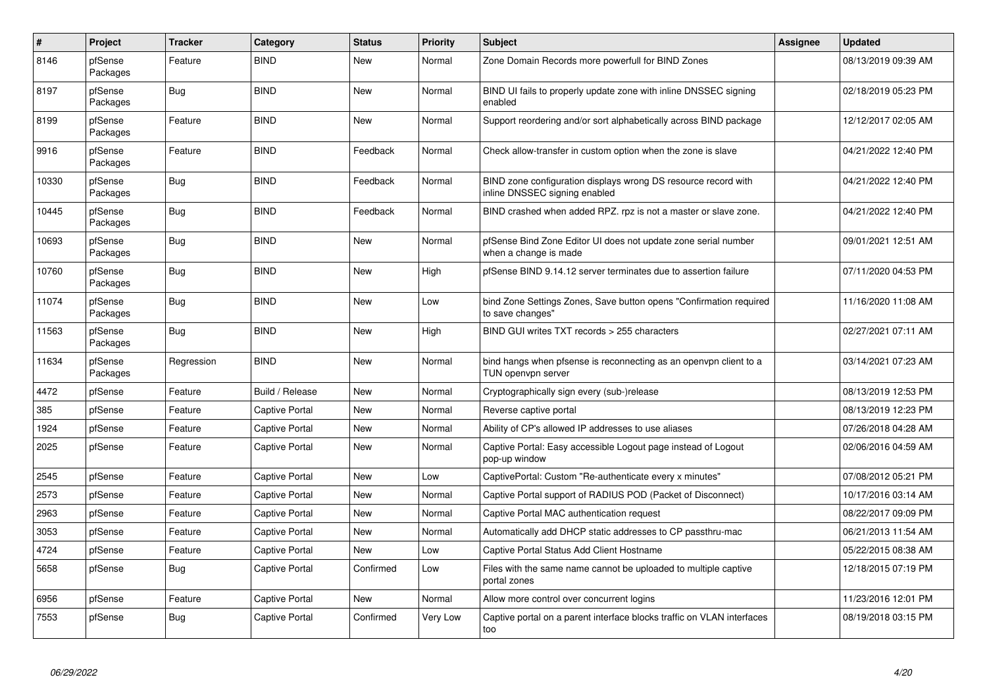| $\sharp$ | Project             | <b>Tracker</b> | Category              | <b>Status</b> | <b>Priority</b> | <b>Subject</b>                                                                                  | <b>Assignee</b> | <b>Updated</b>      |
|----------|---------------------|----------------|-----------------------|---------------|-----------------|-------------------------------------------------------------------------------------------------|-----------------|---------------------|
| 8146     | pfSense<br>Packages | Feature        | <b>BIND</b>           | <b>New</b>    | Normal          | Zone Domain Records more powerfull for BIND Zones                                               |                 | 08/13/2019 09:39 AM |
| 8197     | pfSense<br>Packages | <b>Bug</b>     | <b>BIND</b>           | New           | Normal          | BIND UI fails to properly update zone with inline DNSSEC signing<br>enabled                     |                 | 02/18/2019 05:23 PM |
| 8199     | pfSense<br>Packages | Feature        | <b>BIND</b>           | <b>New</b>    | Normal          | Support reordering and/or sort alphabetically across BIND package                               |                 | 12/12/2017 02:05 AM |
| 9916     | pfSense<br>Packages | Feature        | <b>BIND</b>           | Feedback      | Normal          | Check allow-transfer in custom option when the zone is slave                                    |                 | 04/21/2022 12:40 PM |
| 10330    | pfSense<br>Packages | Bug            | <b>BIND</b>           | Feedback      | Normal          | BIND zone configuration displays wrong DS resource record with<br>inline DNSSEC signing enabled |                 | 04/21/2022 12:40 PM |
| 10445    | pfSense<br>Packages | Bug            | <b>BIND</b>           | Feedback      | Normal          | BIND crashed when added RPZ. rpz is not a master or slave zone.                                 |                 | 04/21/2022 12:40 PM |
| 10693    | pfSense<br>Packages | <b>Bug</b>     | <b>BIND</b>           | <b>New</b>    | Normal          | pfSense Bind Zone Editor UI does not update zone serial number<br>when a change is made         |                 | 09/01/2021 12:51 AM |
| 10760    | pfSense<br>Packages | Bug            | <b>BIND</b>           | New           | High            | pfSense BIND 9.14.12 server terminates due to assertion failure                                 |                 | 07/11/2020 04:53 PM |
| 11074    | pfSense<br>Packages | Bug            | <b>BIND</b>           | <b>New</b>    | Low             | bind Zone Settings Zones, Save button opens "Confirmation required<br>to save changes"          |                 | 11/16/2020 11:08 AM |
| 11563    | pfSense<br>Packages | <b>Bug</b>     | <b>BIND</b>           | <b>New</b>    | High            | BIND GUI writes TXT records > 255 characters                                                    |                 | 02/27/2021 07:11 AM |
| 11634    | pfSense<br>Packages | Regression     | <b>BIND</b>           | <b>New</b>    | Normal          | bind hangs when pfsense is reconnecting as an openvpn client to a<br>TUN openvpn server         |                 | 03/14/2021 07:23 AM |
| 4472     | pfSense             | Feature        | Build / Release       | New           | Normal          | Cryptographically sign every (sub-)release                                                      |                 | 08/13/2019 12:53 PM |
| 385      | pfSense             | Feature        | <b>Captive Portal</b> | New           | Normal          | Reverse captive portal                                                                          |                 | 08/13/2019 12:23 PM |
| 1924     | pfSense             | Feature        | <b>Captive Portal</b> | <b>New</b>    | Normal          | Ability of CP's allowed IP addresses to use aliases                                             |                 | 07/26/2018 04:28 AM |
| 2025     | pfSense             | Feature        | Captive Portal        | <b>New</b>    | Normal          | Captive Portal: Easy accessible Logout page instead of Logout<br>pop-up window                  |                 | 02/06/2016 04:59 AM |
| 2545     | pfSense             | Feature        | <b>Captive Portal</b> | <b>New</b>    | Low             | CaptivePortal: Custom "Re-authenticate every x minutes"                                         |                 | 07/08/2012 05:21 PM |
| 2573     | pfSense             | Feature        | Captive Portal        | New           | Normal          | Captive Portal support of RADIUS POD (Packet of Disconnect)                                     |                 | 10/17/2016 03:14 AM |
| 2963     | pfSense             | Feature        | <b>Captive Portal</b> | <b>New</b>    | Normal          | Captive Portal MAC authentication request                                                       |                 | 08/22/2017 09:09 PM |
| 3053     | pfSense             | Feature        | <b>Captive Portal</b> | New           | Normal          | Automatically add DHCP static addresses to CP passthru-mac                                      |                 | 06/21/2013 11:54 AM |
| 4724     | pfSense             | Feature        | <b>Captive Portal</b> | <b>New</b>    | Low             | Captive Portal Status Add Client Hostname                                                       |                 | 05/22/2015 08:38 AM |
| 5658     | pfSense             | <b>Bug</b>     | <b>Captive Portal</b> | Confirmed     | Low             | Files with the same name cannot be uploaded to multiple captive<br>portal zones                 |                 | 12/18/2015 07:19 PM |
| 6956     | pfSense             | Feature        | <b>Captive Portal</b> | <b>New</b>    | Normal          | Allow more control over concurrent logins                                                       |                 | 11/23/2016 12:01 PM |
| 7553     | pfSense             | <b>Bug</b>     | <b>Captive Portal</b> | Confirmed     | Very Low        | Captive portal on a parent interface blocks traffic on VLAN interfaces<br>too                   |                 | 08/19/2018 03:15 PM |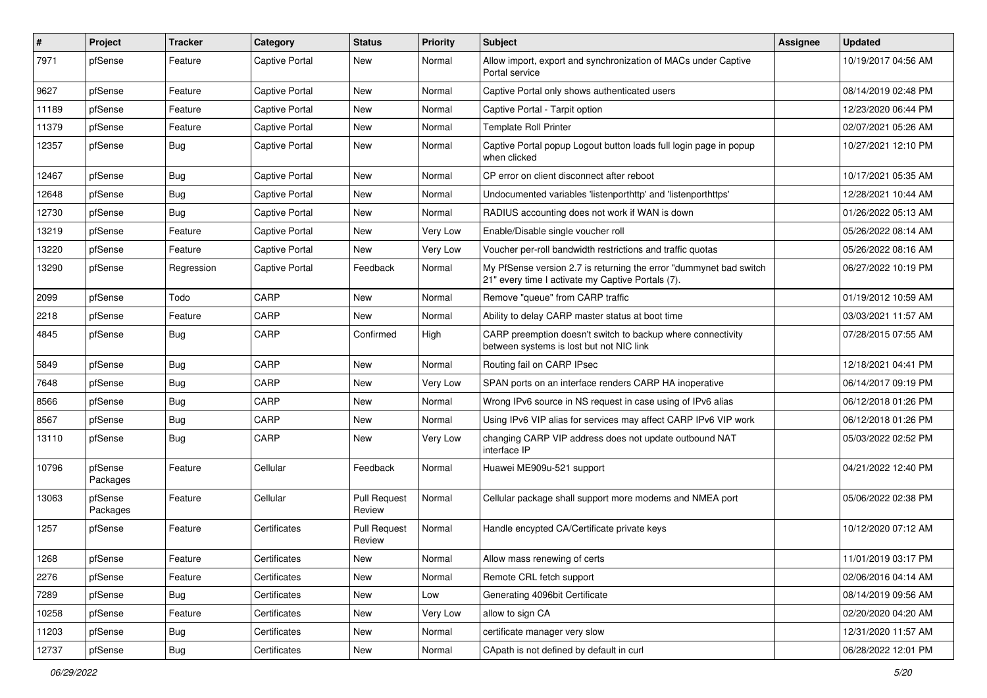| $\vert$ # | Project             | <b>Tracker</b> | Category              | <b>Status</b>                 | <b>Priority</b> | Subject                                                                                                                 | Assignee | <b>Updated</b>      |
|-----------|---------------------|----------------|-----------------------|-------------------------------|-----------------|-------------------------------------------------------------------------------------------------------------------------|----------|---------------------|
| 7971      | pfSense             | Feature        | <b>Captive Portal</b> | New                           | Normal          | Allow import, export and synchronization of MACs under Captive<br>Portal service                                        |          | 10/19/2017 04:56 AM |
| 9627      | pfSense             | Feature        | <b>Captive Portal</b> | New                           | Normal          | Captive Portal only shows authenticated users                                                                           |          | 08/14/2019 02:48 PM |
| 11189     | pfSense             | Feature        | <b>Captive Portal</b> | New                           | Normal          | Captive Portal - Tarpit option                                                                                          |          | 12/23/2020 06:44 PM |
| 11379     | pfSense             | Feature        | <b>Captive Portal</b> | New                           | Normal          | <b>Template Roll Printer</b>                                                                                            |          | 02/07/2021 05:26 AM |
| 12357     | pfSense             | <b>Bug</b>     | <b>Captive Portal</b> | New                           | Normal          | Captive Portal popup Logout button loads full login page in popup<br>when clicked                                       |          | 10/27/2021 12:10 PM |
| 12467     | pfSense             | Bug            | <b>Captive Portal</b> | New                           | Normal          | CP error on client disconnect after reboot                                                                              |          | 10/17/2021 05:35 AM |
| 12648     | pfSense             | Bug            | <b>Captive Portal</b> | New                           | Normal          | Undocumented variables 'listenporthttp' and 'listenporthttps'                                                           |          | 12/28/2021 10:44 AM |
| 12730     | pfSense             | <b>Bug</b>     | <b>Captive Portal</b> | New                           | Normal          | RADIUS accounting does not work if WAN is down                                                                          |          | 01/26/2022 05:13 AM |
| 13219     | pfSense             | Feature        | <b>Captive Portal</b> | New                           | Very Low        | Enable/Disable single voucher roll                                                                                      |          | 05/26/2022 08:14 AM |
| 13220     | pfSense             | Feature        | <b>Captive Portal</b> | New                           | Very Low        | Voucher per-roll bandwidth restrictions and traffic quotas                                                              |          | 05/26/2022 08:16 AM |
| 13290     | pfSense             | Regression     | <b>Captive Portal</b> | Feedback                      | Normal          | My PfSense version 2.7 is returning the error "dummynet bad switch<br>21" every time I activate my Captive Portals (7). |          | 06/27/2022 10:19 PM |
| 2099      | pfSense             | Todo           | CARP                  | New                           | Normal          | Remove "queue" from CARP traffic                                                                                        |          | 01/19/2012 10:59 AM |
| 2218      | pfSense             | Feature        | CARP                  | New                           | Normal          | Ability to delay CARP master status at boot time                                                                        |          | 03/03/2021 11:57 AM |
| 4845      | pfSense             | <b>Bug</b>     | CARP                  | Confirmed                     | High            | CARP preemption doesn't switch to backup where connectivity<br>between systems is lost but not NIC link                 |          | 07/28/2015 07:55 AM |
| 5849      | pfSense             | Bug            | CARP                  | New                           | Normal          | Routing fail on CARP IPsec                                                                                              |          | 12/18/2021 04:41 PM |
| 7648      | pfSense             | <b>Bug</b>     | CARP                  | New                           | Very Low        | SPAN ports on an interface renders CARP HA inoperative                                                                  |          | 06/14/2017 09:19 PM |
| 8566      | pfSense             | Bug            | CARP                  | New                           | Normal          | Wrong IPv6 source in NS request in case using of IPv6 alias                                                             |          | 06/12/2018 01:26 PM |
| 8567      | pfSense             | Bug            | CARP                  | New                           | Normal          | Using IPv6 VIP alias for services may affect CARP IPv6 VIP work                                                         |          | 06/12/2018 01:26 PM |
| 13110     | pfSense             | Bug            | CARP                  | New                           | Very Low        | changing CARP VIP address does not update outbound NAT<br>interface IP                                                  |          | 05/03/2022 02:52 PM |
| 10796     | pfSense<br>Packages | Feature        | Cellular              | Feedback                      | Normal          | Huawei ME909u-521 support                                                                                               |          | 04/21/2022 12:40 PM |
| 13063     | pfSense<br>Packages | Feature        | Cellular              | <b>Pull Request</b><br>Review | Normal          | Cellular package shall support more modems and NMEA port                                                                |          | 05/06/2022 02:38 PM |
| 1257      | pfSense             | Feature        | Certificates          | <b>Pull Request</b><br>Review | Normal          | Handle encypted CA/Certificate private keys                                                                             |          | 10/12/2020 07:12 AM |
| 1268      | pfSense             | Feature        | Certificates          | New                           | Normal          | Allow mass renewing of certs                                                                                            |          | 11/01/2019 03:17 PM |
| 2276      | pfSense             | Feature        | Certificates          | New                           | Normal          | Remote CRL fetch support                                                                                                |          | 02/06/2016 04:14 AM |
| 7289      | pfSense             | Bug            | Certificates          | New                           | Low             | Generating 4096bit Certificate                                                                                          |          | 08/14/2019 09:56 AM |
| 10258     | pfSense             | Feature        | Certificates          | New                           | Very Low        | allow to sign CA                                                                                                        |          | 02/20/2020 04:20 AM |
| 11203     | pfSense             | <b>Bug</b>     | Certificates          | New                           | Normal          | certificate manager very slow                                                                                           |          | 12/31/2020 11:57 AM |
| 12737     | pfSense             | Bug            | Certificates          | New                           | Normal          | CApath is not defined by default in curl                                                                                |          | 06/28/2022 12:01 PM |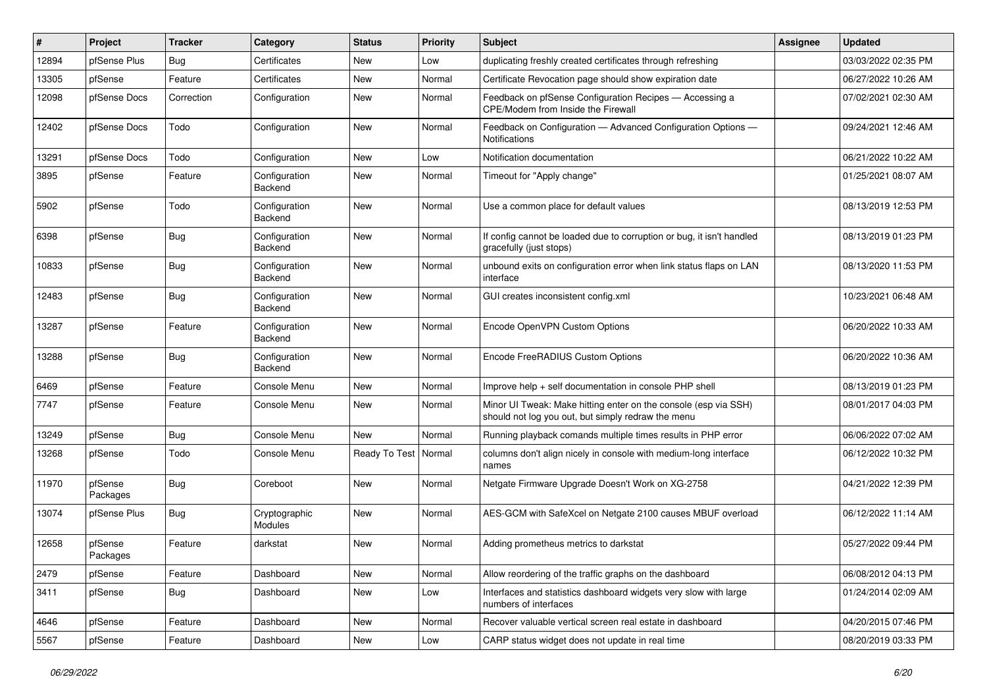| #     | Project             | <b>Tracker</b> | Category                        | <b>Status</b> | <b>Priority</b> | Subject                                                                                                               | <b>Assignee</b> | <b>Updated</b>      |
|-------|---------------------|----------------|---------------------------------|---------------|-----------------|-----------------------------------------------------------------------------------------------------------------------|-----------------|---------------------|
| 12894 | pfSense Plus        | Bug            | Certificates                    | New           | Low             | duplicating freshly created certificates through refreshing                                                           |                 | 03/03/2022 02:35 PM |
| 13305 | pfSense             | Feature        | Certificates                    | <b>New</b>    | Normal          | Certificate Revocation page should show expiration date                                                               |                 | 06/27/2022 10:26 AM |
| 12098 | pfSense Docs        | Correction     | Configuration                   | New           | Normal          | Feedback on pfSense Configuration Recipes - Accessing a<br>CPE/Modem from Inside the Firewall                         |                 | 07/02/2021 02:30 AM |
| 12402 | pfSense Docs        | Todo           | Configuration                   | New           | Normal          | Feedback on Configuration - Advanced Configuration Options -<br>Notifications                                         |                 | 09/24/2021 12:46 AM |
| 13291 | pfSense Docs        | Todo           | Configuration                   | New           | Low             | Notification documentation                                                                                            |                 | 06/21/2022 10:22 AM |
| 3895  | pfSense             | Feature        | Configuration<br>Backend        | New           | Normal          | Timeout for "Apply change"                                                                                            |                 | 01/25/2021 08:07 AM |
| 5902  | pfSense             | Todo           | Configuration<br>Backend        | New           | Normal          | Use a common place for default values                                                                                 |                 | 08/13/2019 12:53 PM |
| 6398  | pfSense             | Bug            | Configuration<br>Backend        | New           | Normal          | If config cannot be loaded due to corruption or bug, it isn't handled<br>gracefully (just stops)                      |                 | 08/13/2019 01:23 PM |
| 10833 | pfSense             | Bug            | Configuration<br>Backend        | New           | Normal          | unbound exits on configuration error when link status flaps on LAN<br>interface                                       |                 | 08/13/2020 11:53 PM |
| 12483 | pfSense             | <b>Bug</b>     | Configuration<br>Backend        | New           | Normal          | GUI creates inconsistent config.xml                                                                                   |                 | 10/23/2021 06:48 AM |
| 13287 | pfSense             | Feature        | Configuration<br><b>Backend</b> | New           | Normal          | Encode OpenVPN Custom Options                                                                                         |                 | 06/20/2022 10:33 AM |
| 13288 | pfSense             | Bug            | Configuration<br>Backend        | New           | Normal          | Encode FreeRADIUS Custom Options                                                                                      |                 | 06/20/2022 10:36 AM |
| 6469  | pfSense             | Feature        | Console Menu                    | <b>New</b>    | Normal          | Improve help + self documentation in console PHP shell                                                                |                 | 08/13/2019 01:23 PM |
| 7747  | pfSense             | Feature        | Console Menu                    | New           | Normal          | Minor UI Tweak: Make hitting enter on the console (esp via SSH)<br>should not log you out, but simply redraw the menu |                 | 08/01/2017 04:03 PM |
| 13249 | pfSense             | Bug            | Console Menu                    | New           | Normal          | Running playback comands multiple times results in PHP error                                                          |                 | 06/06/2022 07:02 AM |
| 13268 | pfSense             | Todo           | Console Menu                    | Ready To Test | Normal          | columns don't align nicely in console with medium-long interface<br>names                                             |                 | 06/12/2022 10:32 PM |
| 11970 | pfSense<br>Packages | Bug            | Coreboot                        | New           | Normal          | Netgate Firmware Upgrade Doesn't Work on XG-2758                                                                      |                 | 04/21/2022 12:39 PM |
| 13074 | pfSense Plus        | Bug            | Cryptographic<br>Modules        | New           | Normal          | AES-GCM with SafeXcel on Netgate 2100 causes MBUF overload                                                            |                 | 06/12/2022 11:14 AM |
| 12658 | pfSense<br>Packages | Feature        | darkstat                        | New           | Normal          | Adding prometheus metrics to darkstat                                                                                 |                 | 05/27/2022 09:44 PM |
| 2479  | pfSense             | Feature        | Dashboard                       | New           | Normal          | Allow reordering of the traffic graphs on the dashboard                                                               |                 | 06/08/2012 04:13 PM |
| 3411  | pfSense             | <b>Bug</b>     | Dashboard                       | New           | Low             | Interfaces and statistics dashboard widgets very slow with large<br>numbers of interfaces                             |                 | 01/24/2014 02:09 AM |
| 4646  | pfSense             | Feature        | Dashboard                       | New           | Normal          | Recover valuable vertical screen real estate in dashboard                                                             |                 | 04/20/2015 07:46 PM |
| 5567  | pfSense             | Feature        | Dashboard                       | New           | Low             | CARP status widget does not update in real time                                                                       |                 | 08/20/2019 03:33 PM |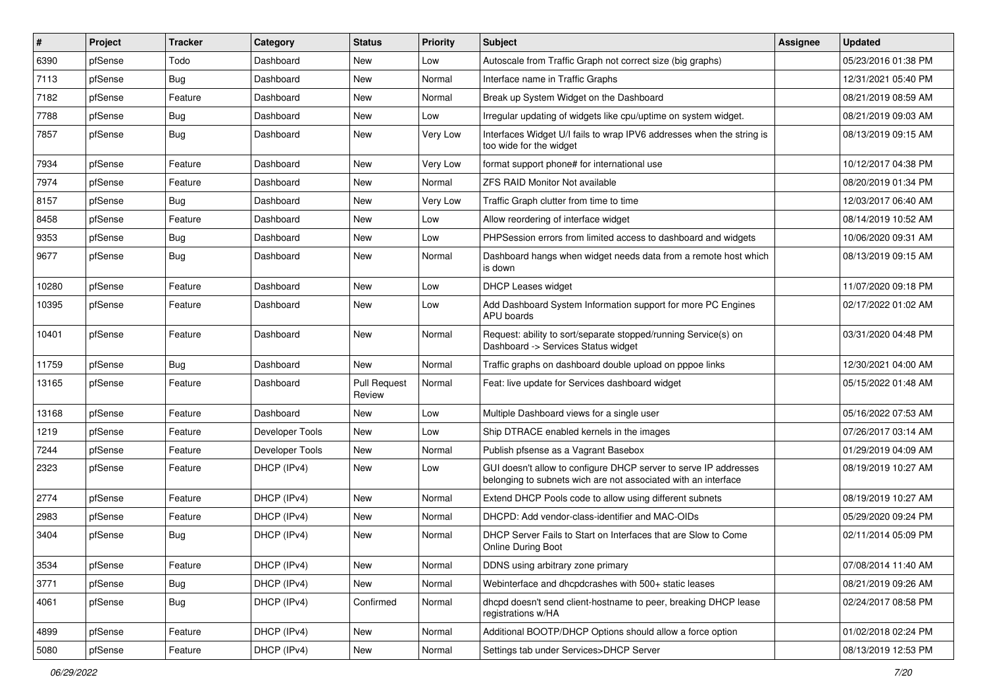| $\pmb{\sharp}$ | Project | <b>Tracker</b> | Category        | <b>Status</b>                 | <b>Priority</b> | Subject                                                                                                                            | <b>Assignee</b> | <b>Updated</b>      |
|----------------|---------|----------------|-----------------|-------------------------------|-----------------|------------------------------------------------------------------------------------------------------------------------------------|-----------------|---------------------|
| 6390           | pfSense | Todo           | Dashboard       | New                           | Low             | Autoscale from Traffic Graph not correct size (big graphs)                                                                         |                 | 05/23/2016 01:38 PM |
| 7113           | pfSense | Bug            | Dashboard       | New                           | Normal          | Interface name in Traffic Graphs                                                                                                   |                 | 12/31/2021 05:40 PM |
| 7182           | pfSense | Feature        | Dashboard       | New                           | Normal          | Break up System Widget on the Dashboard                                                                                            |                 | 08/21/2019 08:59 AM |
| 7788           | pfSense | Bug            | Dashboard       | New                           | Low             | Irregular updating of widgets like cpu/uptime on system widget.                                                                    |                 | 08/21/2019 09:03 AM |
| 7857           | pfSense | <b>Bug</b>     | Dashboard       | New                           | Very Low        | Interfaces Widget U/I fails to wrap IPV6 addresses when the string is<br>too wide for the widget                                   |                 | 08/13/2019 09:15 AM |
| 7934           | pfSense | Feature        | Dashboard       | New                           | Very Low        | format support phone# for international use                                                                                        |                 | 10/12/2017 04:38 PM |
| 7974           | pfSense | Feature        | Dashboard       | <b>New</b>                    | Normal          | ZFS RAID Monitor Not available                                                                                                     |                 | 08/20/2019 01:34 PM |
| 8157           | pfSense | <b>Bug</b>     | Dashboard       | New                           | Very Low        | Traffic Graph clutter from time to time                                                                                            |                 | 12/03/2017 06:40 AM |
| 8458           | pfSense | Feature        | Dashboard       | New                           | Low             | Allow reordering of interface widget                                                                                               |                 | 08/14/2019 10:52 AM |
| 9353           | pfSense | Bug            | Dashboard       | New                           | Low             | PHPSession errors from limited access to dashboard and widgets                                                                     |                 | 10/06/2020 09:31 AM |
| 9677           | pfSense | <b>Bug</b>     | Dashboard       | New                           | Normal          | Dashboard hangs when widget needs data from a remote host which<br>is down                                                         |                 | 08/13/2019 09:15 AM |
| 10280          | pfSense | Feature        | Dashboard       | <b>New</b>                    | Low             | <b>DHCP Leases widget</b>                                                                                                          |                 | 11/07/2020 09:18 PM |
| 10395          | pfSense | Feature        | Dashboard       | New                           | Low             | Add Dashboard System Information support for more PC Engines<br><b>APU</b> boards                                                  |                 | 02/17/2022 01:02 AM |
| 10401          | pfSense | Feature        | Dashboard       | New                           | Normal          | Request: ability to sort/separate stopped/running Service(s) on<br>Dashboard -> Services Status widget                             |                 | 03/31/2020 04:48 PM |
| 11759          | pfSense | Bug            | Dashboard       | New                           | Normal          | Traffic graphs on dashboard double upload on pppoe links                                                                           |                 | 12/30/2021 04:00 AM |
| 13165          | pfSense | Feature        | Dashboard       | <b>Pull Request</b><br>Review | Normal          | Feat: live update for Services dashboard widget                                                                                    |                 | 05/15/2022 01:48 AM |
| 13168          | pfSense | Feature        | Dashboard       | New                           | Low             | Multiple Dashboard views for a single user                                                                                         |                 | 05/16/2022 07:53 AM |
| 1219           | pfSense | Feature        | Developer Tools | New                           | Low             | Ship DTRACE enabled kernels in the images                                                                                          |                 | 07/26/2017 03:14 AM |
| 7244           | pfSense | Feature        | Developer Tools | New                           | Normal          | Publish pfsense as a Vagrant Basebox                                                                                               |                 | 01/29/2019 04:09 AM |
| 2323           | pfSense | Feature        | DHCP (IPv4)     | New                           | Low             | GUI doesn't allow to configure DHCP server to serve IP addresses<br>belonging to subnets wich are not associated with an interface |                 | 08/19/2019 10:27 AM |
| 2774           | pfSense | Feature        | DHCP (IPv4)     | New                           | Normal          | Extend DHCP Pools code to allow using different subnets                                                                            |                 | 08/19/2019 10:27 AM |
| 2983           | pfSense | Feature        | DHCP (IPv4)     | New                           | Normal          | DHCPD: Add vendor-class-identifier and MAC-OIDs                                                                                    |                 | 05/29/2020 09:24 PM |
| 3404           | pfSense | Bug            | DHCP (IPv4)     | New                           | Normal          | DHCP Server Fails to Start on Interfaces that are Slow to Come<br>Online During Boot                                               |                 | 02/11/2014 05:09 PM |
| 3534           | pfSense | Feature        | DHCP (IPv4)     | New                           | Normal          | DDNS using arbitrary zone primary                                                                                                  |                 | 07/08/2014 11:40 AM |
| 3771           | pfSense | Bug            | DHCP (IPv4)     | New                           | Normal          | Webinterface and dhcpdcrashes with 500+ static leases                                                                              |                 | 08/21/2019 09:26 AM |
| 4061           | pfSense | Bug            | DHCP (IPv4)     | Confirmed                     | Normal          | dhcpd doesn't send client-hostname to peer, breaking DHCP lease<br>registrations w/HA                                              |                 | 02/24/2017 08:58 PM |
| 4899           | pfSense | Feature        | DHCP (IPv4)     | New                           | Normal          | Additional BOOTP/DHCP Options should allow a force option                                                                          |                 | 01/02/2018 02:24 PM |
| 5080           | pfSense | Feature        | DHCP (IPv4)     | New                           | Normal          | Settings tab under Services>DHCP Server                                                                                            |                 | 08/13/2019 12:53 PM |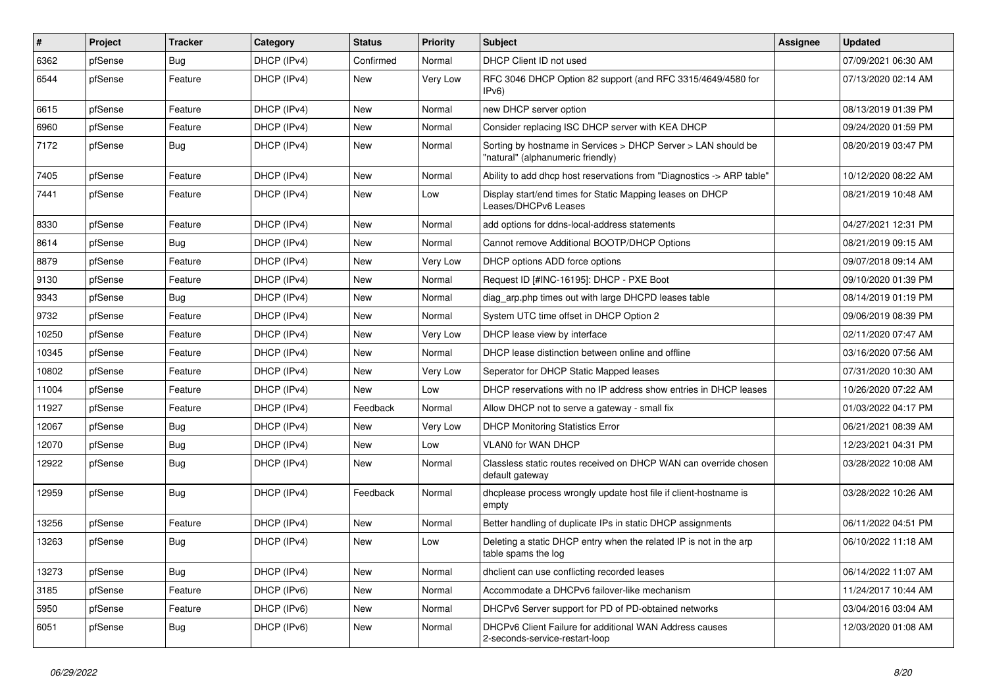| $\vert$ # | Project | <b>Tracker</b> | Category    | <b>Status</b> | <b>Priority</b> | Subject                                                                                            | Assignee | <b>Updated</b>      |
|-----------|---------|----------------|-------------|---------------|-----------------|----------------------------------------------------------------------------------------------------|----------|---------------------|
| 6362      | pfSense | Bug            | DHCP (IPv4) | Confirmed     | Normal          | DHCP Client ID not used                                                                            |          | 07/09/2021 06:30 AM |
| 6544      | pfSense | Feature        | DHCP (IPv4) | New           | Very Low        | RFC 3046 DHCP Option 82 support (and RFC 3315/4649/4580 for<br>IPv6                                |          | 07/13/2020 02:14 AM |
| 6615      | pfSense | Feature        | DHCP (IPv4) | New           | Normal          | new DHCP server option                                                                             |          | 08/13/2019 01:39 PM |
| 6960      | pfSense | Feature        | DHCP (IPv4) | New           | Normal          | Consider replacing ISC DHCP server with KEA DHCP                                                   |          | 09/24/2020 01:59 PM |
| 7172      | pfSense | <b>Bug</b>     | DHCP (IPv4) | New           | Normal          | Sorting by hostname in Services > DHCP Server > LAN should be<br>"natural" (alphanumeric friendly) |          | 08/20/2019 03:47 PM |
| 7405      | pfSense | Feature        | DHCP (IPv4) | <b>New</b>    | Normal          | Ability to add dhcp host reservations from "Diagnostics -> ARP table"                              |          | 10/12/2020 08:22 AM |
| 7441      | pfSense | Feature        | DHCP (IPv4) | New           | Low             | Display start/end times for Static Mapping leases on DHCP<br>Leases/DHCPv6 Leases                  |          | 08/21/2019 10:48 AM |
| 8330      | pfSense | Feature        | DHCP (IPv4) | New           | Normal          | add options for ddns-local-address statements                                                      |          | 04/27/2021 12:31 PM |
| 8614      | pfSense | <b>Bug</b>     | DHCP (IPv4) | New           | Normal          | Cannot remove Additional BOOTP/DHCP Options                                                        |          | 08/21/2019 09:15 AM |
| 8879      | pfSense | Feature        | DHCP (IPv4) | New           | Very Low        | DHCP options ADD force options                                                                     |          | 09/07/2018 09:14 AM |
| 9130      | pfSense | Feature        | DHCP (IPv4) | New           | Normal          | Request ID [#INC-16195]: DHCP - PXE Boot                                                           |          | 09/10/2020 01:39 PM |
| 9343      | pfSense | Bug            | DHCP (IPv4) | New           | Normal          | diag arp.php times out with large DHCPD leases table                                               |          | 08/14/2019 01:19 PM |
| 9732      | pfSense | Feature        | DHCP (IPv4) | New           | Normal          | System UTC time offset in DHCP Option 2                                                            |          | 09/06/2019 08:39 PM |
| 10250     | pfSense | Feature        | DHCP (IPv4) | New           | Very Low        | DHCP lease view by interface                                                                       |          | 02/11/2020 07:47 AM |
| 10345     | pfSense | Feature        | DHCP (IPv4) | New           | Normal          | DHCP lease distinction between online and offline                                                  |          | 03/16/2020 07:56 AM |
| 10802     | pfSense | Feature        | DHCP (IPv4) | New           | Very Low        | Seperator for DHCP Static Mapped leases                                                            |          | 07/31/2020 10:30 AM |
| 11004     | pfSense | Feature        | DHCP (IPv4) | New           | Low             | DHCP reservations with no IP address show entries in DHCP leases                                   |          | 10/26/2020 07:22 AM |
| 11927     | pfSense | Feature        | DHCP (IPv4) | Feedback      | Normal          | Allow DHCP not to serve a gateway - small fix                                                      |          | 01/03/2022 04:17 PM |
| 12067     | pfSense | Bug            | DHCP (IPv4) | New           | Very Low        | <b>DHCP Monitoring Statistics Error</b>                                                            |          | 06/21/2021 08:39 AM |
| 12070     | pfSense | <b>Bug</b>     | DHCP (IPv4) | New           | Low             | <b>VLAN0 for WAN DHCP</b>                                                                          |          | 12/23/2021 04:31 PM |
| 12922     | pfSense | <b>Bug</b>     | DHCP (IPv4) | New           | Normal          | Classless static routes received on DHCP WAN can override chosen<br>default gateway                |          | 03/28/2022 10:08 AM |
| 12959     | pfSense | <b>Bug</b>     | DHCP (IPv4) | Feedback      | Normal          | dhcplease process wrongly update host file if client-hostname is<br>empty                          |          | 03/28/2022 10:26 AM |
| 13256     | pfSense | Feature        | DHCP (IPv4) | New           | Normal          | Better handling of duplicate IPs in static DHCP assignments                                        |          | 06/11/2022 04:51 PM |
| 13263     | pfSense | <b>Bug</b>     | DHCP (IPv4) | New           | Low             | Deleting a static DHCP entry when the related IP is not in the arp<br>table spams the log          |          | 06/10/2022 11:18 AM |
| 13273     | pfSense | <b>Bug</b>     | DHCP (IPv4) | New           | Normal          | dhclient can use conflicting recorded leases                                                       |          | 06/14/2022 11:07 AM |
| 3185      | pfSense | Feature        | DHCP (IPv6) | New           | Normal          | Accommodate a DHCPv6 failover-like mechanism                                                       |          | 11/24/2017 10:44 AM |
| 5950      | pfSense | Feature        | DHCP (IPv6) | New           | Normal          | DHCPv6 Server support for PD of PD-obtained networks                                               |          | 03/04/2016 03:04 AM |
| 6051      | pfSense | <b>Bug</b>     | DHCP (IPv6) | New           | Normal          | DHCPv6 Client Failure for additional WAN Address causes<br>2-seconds-service-restart-loop          |          | 12/03/2020 01:08 AM |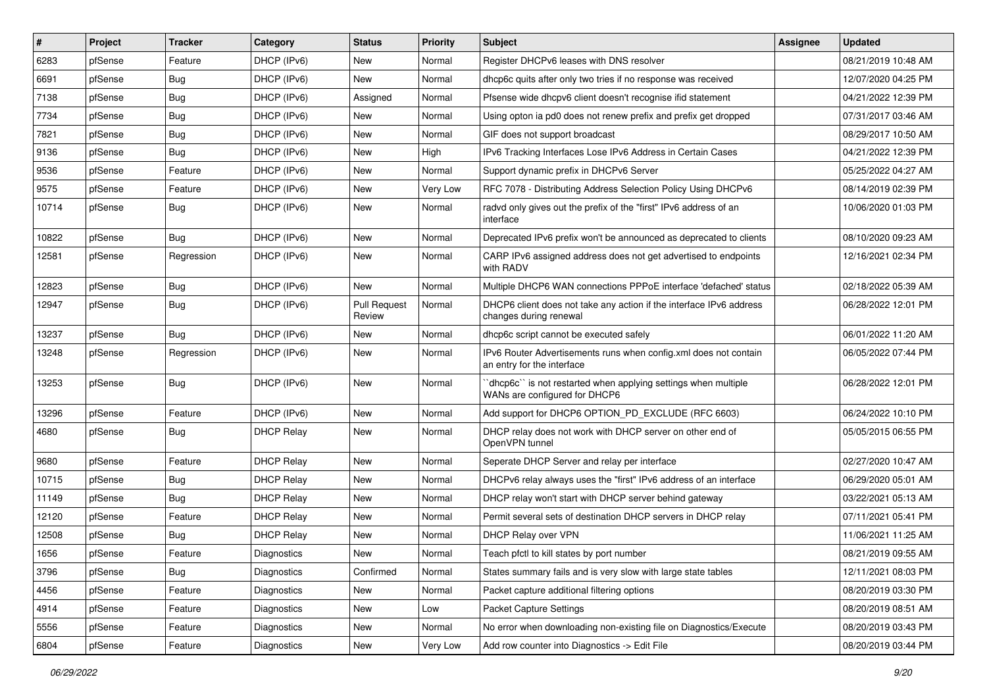| ∦     | Project | <b>Tracker</b> | Category          | <b>Status</b>                 | <b>Priority</b> | Subject                                                                                        | <b>Assignee</b> | <b>Updated</b>      |
|-------|---------|----------------|-------------------|-------------------------------|-----------------|------------------------------------------------------------------------------------------------|-----------------|---------------------|
| 6283  | pfSense | Feature        | DHCP (IPv6)       | New                           | Normal          | Register DHCPv6 leases with DNS resolver                                                       |                 | 08/21/2019 10:48 AM |
| 6691  | pfSense | <b>Bug</b>     | DHCP (IPv6)       | New                           | Normal          | dhcp6c quits after only two tries if no response was received                                  |                 | 12/07/2020 04:25 PM |
| 7138  | pfSense | Bug            | DHCP (IPv6)       | Assigned                      | Normal          | Pfsense wide dhcpv6 client doesn't recognise ifid statement                                    |                 | 04/21/2022 12:39 PM |
| 7734  | pfSense | Bug            | DHCP (IPv6)       | New                           | Normal          | Using opton ia pd0 does not renew prefix and prefix get dropped                                |                 | 07/31/2017 03:46 AM |
| 7821  | pfSense | <b>Bug</b>     | DHCP (IPv6)       | New                           | Normal          | GIF does not support broadcast                                                                 |                 | 08/29/2017 10:50 AM |
| 9136  | pfSense | Bug            | DHCP (IPv6)       | New                           | High            | IPv6 Tracking Interfaces Lose IPv6 Address in Certain Cases                                    |                 | 04/21/2022 12:39 PM |
| 9536  | pfSense | Feature        | DHCP (IPv6)       | New                           | Normal          | Support dynamic prefix in DHCPv6 Server                                                        |                 | 05/25/2022 04:27 AM |
| 9575  | pfSense | Feature        | DHCP (IPv6)       | New                           | Very Low        | RFC 7078 - Distributing Address Selection Policy Using DHCPv6                                  |                 | 08/14/2019 02:39 PM |
| 10714 | pfSense | Bug            | DHCP (IPv6)       | New                           | Normal          | radvd only gives out the prefix of the "first" IPv6 address of an<br>interface                 |                 | 10/06/2020 01:03 PM |
| 10822 | pfSense | Bug            | DHCP (IPv6)       | New                           | Normal          | Deprecated IPv6 prefix won't be announced as deprecated to clients                             |                 | 08/10/2020 09:23 AM |
| 12581 | pfSense | Regression     | DHCP (IPv6)       | New                           | Normal          | CARP IPv6 assigned address does not get advertised to endpoints<br>with RADV                   |                 | 12/16/2021 02:34 PM |
| 12823 | pfSense | Bug            | DHCP (IPv6)       | New                           | Normal          | Multiple DHCP6 WAN connections PPPoE interface 'defached' status                               |                 | 02/18/2022 05:39 AM |
| 12947 | pfSense | <b>Bug</b>     | DHCP (IPv6)       | <b>Pull Request</b><br>Review | Normal          | DHCP6 client does not take any action if the interface IPv6 address<br>changes during renewal  |                 | 06/28/2022 12:01 PM |
| 13237 | pfSense | Bug            | DHCP (IPv6)       | New                           | Normal          | dhcp6c script cannot be executed safely                                                        |                 | 06/01/2022 11:20 AM |
| 13248 | pfSense | Regression     | DHCP (IPv6)       | New                           | Normal          | IPv6 Router Advertisements runs when config.xml does not contain<br>an entry for the interface |                 | 06/05/2022 07:44 PM |
| 13253 | pfSense | Bug            | DHCP (IPv6)       | New                           | Normal          | dhcp6c" is not restarted when applying settings when multiple<br>WANs are configured for DHCP6 |                 | 06/28/2022 12:01 PM |
| 13296 | pfSense | Feature        | DHCP (IPv6)       | New                           | Normal          | Add support for DHCP6 OPTION PD EXCLUDE (RFC 6603)                                             |                 | 06/24/2022 10:10 PM |
| 4680  | pfSense | <b>Bug</b>     | <b>DHCP Relay</b> | New                           | Normal          | DHCP relay does not work with DHCP server on other end of<br>OpenVPN tunnel                    |                 | 05/05/2015 06:55 PM |
| 9680  | pfSense | Feature        | <b>DHCP Relay</b> | New                           | Normal          | Seperate DHCP Server and relay per interface                                                   |                 | 02/27/2020 10:47 AM |
| 10715 | pfSense | <b>Bug</b>     | <b>DHCP Relay</b> | New                           | Normal          | DHCPv6 relay always uses the "first" IPv6 address of an interface                              |                 | 06/29/2020 05:01 AM |
| 11149 | pfSense | Bug            | <b>DHCP Relay</b> | New                           | Normal          | DHCP relay won't start with DHCP server behind gateway                                         |                 | 03/22/2021 05:13 AM |
| 12120 | pfSense | Feature        | <b>DHCP Relay</b> | New                           | Normal          | Permit several sets of destination DHCP servers in DHCP relay                                  |                 | 07/11/2021 05:41 PM |
| 12508 | pfSense | <b>Bug</b>     | <b>DHCP Relay</b> | New                           | Normal          | DHCP Relay over VPN                                                                            |                 | 11/06/2021 11:25 AM |
| 1656  | pfSense | Feature        | Diagnostics       | New                           | Normal          | Teach pfctl to kill states by port number                                                      |                 | 08/21/2019 09:55 AM |
| 3796  | pfSense | Bug            | Diagnostics       | Confirmed                     | Normal          | States summary fails and is very slow with large state tables                                  |                 | 12/11/2021 08:03 PM |
| 4456  | pfSense | Feature        | Diagnostics       | New                           | Normal          | Packet capture additional filtering options                                                    |                 | 08/20/2019 03:30 PM |
| 4914  | pfSense | Feature        | Diagnostics       | New                           | Low             | Packet Capture Settings                                                                        |                 | 08/20/2019 08:51 AM |
| 5556  | pfSense | Feature        | Diagnostics       | New                           | Normal          | No error when downloading non-existing file on Diagnostics/Execute                             |                 | 08/20/2019 03:43 PM |
| 6804  | pfSense | Feature        | Diagnostics       | New                           | Very Low        | Add row counter into Diagnostics -> Edit File                                                  |                 | 08/20/2019 03:44 PM |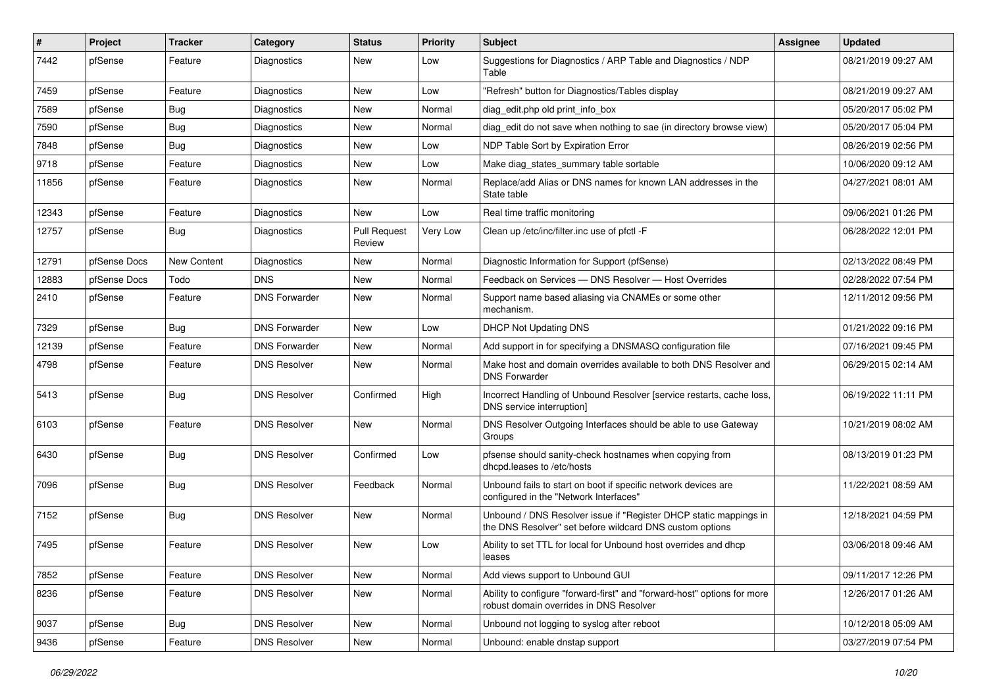| $\vert$ # | Project      | <b>Tracker</b> | Category             | <b>Status</b>                 | <b>Priority</b> | Subject                                                                                                                       | Assignee | <b>Updated</b>      |
|-----------|--------------|----------------|----------------------|-------------------------------|-----------------|-------------------------------------------------------------------------------------------------------------------------------|----------|---------------------|
| 7442      | pfSense      | Feature        | Diagnostics          | New                           | Low             | Suggestions for Diagnostics / ARP Table and Diagnostics / NDP<br>Table                                                        |          | 08/21/2019 09:27 AM |
| 7459      | pfSense      | Feature        | <b>Diagnostics</b>   | New                           | Low             | "Refresh" button for Diagnostics/Tables display                                                                               |          | 08/21/2019 09:27 AM |
| 7589      | pfSense      | Bug            | Diagnostics          | New                           | Normal          | diag_edit.php old print_info_box                                                                                              |          | 05/20/2017 05:02 PM |
| 7590      | pfSense      | Bug            | Diagnostics          | New                           | Normal          | diag_edit do not save when nothing to sae (in directory browse view)                                                          |          | 05/20/2017 05:04 PM |
| 7848      | pfSense      | Bug            | Diagnostics          | New                           | Low             | NDP Table Sort by Expiration Error                                                                                            |          | 08/26/2019 02:56 PM |
| 9718      | pfSense      | Feature        | Diagnostics          | New                           | Low             | Make diag_states_summary table sortable                                                                                       |          | 10/06/2020 09:12 AM |
| 11856     | pfSense      | Feature        | Diagnostics          | New                           | Normal          | Replace/add Alias or DNS names for known LAN addresses in the<br>State table                                                  |          | 04/27/2021 08:01 AM |
| 12343     | pfSense      | Feature        | Diagnostics          | New                           | Low             | Real time traffic monitoring                                                                                                  |          | 09/06/2021 01:26 PM |
| 12757     | pfSense      | Bug            | Diagnostics          | <b>Pull Request</b><br>Review | Very Low        | Clean up /etc/inc/filter.inc use of pfctl -F                                                                                  |          | 06/28/2022 12:01 PM |
| 12791     | pfSense Docs | New Content    | Diagnostics          | New                           | Normal          | Diagnostic Information for Support (pfSense)                                                                                  |          | 02/13/2022 08:49 PM |
| 12883     | pfSense Docs | Todo           | <b>DNS</b>           | New                           | Normal          | Feedback on Services - DNS Resolver - Host Overrides                                                                          |          | 02/28/2022 07:54 PM |
| 2410      | pfSense      | Feature        | <b>DNS Forwarder</b> | New                           | Normal          | Support name based aliasing via CNAMEs or some other<br>mechanism.                                                            |          | 12/11/2012 09:56 PM |
| 7329      | pfSense      | Bug            | <b>DNS Forwarder</b> | New                           | Low             | <b>DHCP Not Updating DNS</b>                                                                                                  |          | 01/21/2022 09:16 PM |
| 12139     | pfSense      | Feature        | <b>DNS Forwarder</b> | New                           | Normal          | Add support in for specifying a DNSMASQ configuration file                                                                    |          | 07/16/2021 09:45 PM |
| 4798      | pfSense      | Feature        | <b>DNS Resolver</b>  | New                           | Normal          | Make host and domain overrides available to both DNS Resolver and<br><b>DNS Forwarder</b>                                     |          | 06/29/2015 02:14 AM |
| 5413      | pfSense      | Bug            | <b>DNS Resolver</b>  | Confirmed                     | High            | Incorrect Handling of Unbound Resolver [service restarts, cache loss,<br>DNS service interruption]                            |          | 06/19/2022 11:11 PM |
| 6103      | pfSense      | Feature        | <b>DNS Resolver</b>  | New                           | Normal          | DNS Resolver Outgoing Interfaces should be able to use Gateway<br>Groups                                                      |          | 10/21/2019 08:02 AM |
| 6430      | pfSense      | Bug            | <b>DNS Resolver</b>  | Confirmed                     | Low             | pfsense should sanity-check hostnames when copying from<br>dhcpd.leases to /etc/hosts                                         |          | 08/13/2019 01:23 PM |
| 7096      | pfSense      | <b>Bug</b>     | <b>DNS Resolver</b>  | Feedback                      | Normal          | Unbound fails to start on boot if specific network devices are<br>configured in the "Network Interfaces"                      |          | 11/22/2021 08:59 AM |
| 7152      | pfSense      | Bug            | <b>DNS Resolver</b>  | New                           | Normal          | Unbound / DNS Resolver issue if "Register DHCP static mappings in<br>the DNS Resolver" set before wildcard DNS custom options |          | 12/18/2021 04:59 PM |
| 7495      | pfSense      | Feature        | <b>DNS Resolver</b>  | New                           | Low             | Ability to set TTL for local for Unbound host overrides and dhcp<br>leases                                                    |          | 03/06/2018 09:46 AM |
| 7852      | pfSense      | Feature        | <b>DNS Resolver</b>  | New                           | Normal          | Add views support to Unbound GUI                                                                                              |          | 09/11/2017 12:26 PM |
| 8236      | pfSense      | Feature        | <b>DNS Resolver</b>  | New                           | Normal          | Ability to configure "forward-first" and "forward-host" options for more<br>robust domain overrides in DNS Resolver           |          | 12/26/2017 01:26 AM |
| 9037      | pfSense      | Bug            | <b>DNS Resolver</b>  | New                           | Normal          | Unbound not logging to syslog after reboot                                                                                    |          | 10/12/2018 05:09 AM |
| 9436      | pfSense      | Feature        | <b>DNS Resolver</b>  | New                           | Normal          | Unbound: enable dnstap support                                                                                                |          | 03/27/2019 07:54 PM |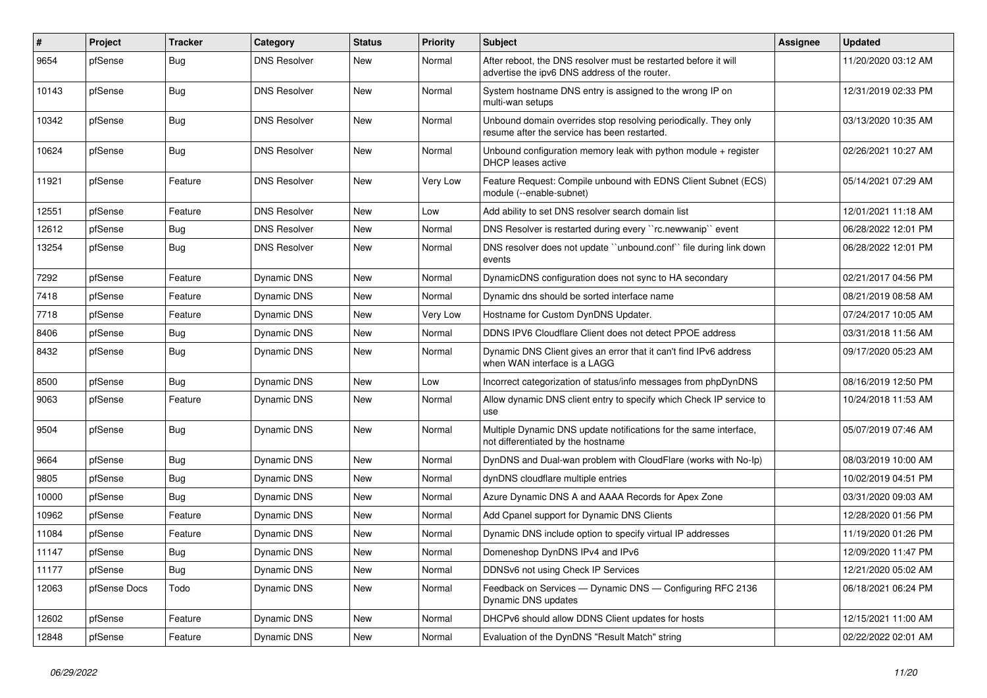| $\vert$ # | Project      | <b>Tracker</b> | Category            | <b>Status</b> | <b>Priority</b> | Subject                                                                                                          | <b>Assignee</b> | <b>Updated</b>      |
|-----------|--------------|----------------|---------------------|---------------|-----------------|------------------------------------------------------------------------------------------------------------------|-----------------|---------------------|
| 9654      | pfSense      | Bug            | <b>DNS Resolver</b> | New           | Normal          | After reboot, the DNS resolver must be restarted before it will<br>advertise the ipv6 DNS address of the router. |                 | 11/20/2020 03:12 AM |
| 10143     | pfSense      | Bug            | <b>DNS Resolver</b> | New           | Normal          | System hostname DNS entry is assigned to the wrong IP on<br>multi-wan setups                                     |                 | 12/31/2019 02:33 PM |
| 10342     | pfSense      | Bug            | <b>DNS Resolver</b> | New           | Normal          | Unbound domain overrides stop resolving periodically. They only<br>resume after the service has been restarted.  |                 | 03/13/2020 10:35 AM |
| 10624     | pfSense      | Bug            | <b>DNS Resolver</b> | New           | Normal          | Unbound configuration memory leak with python module + register<br><b>DHCP</b> leases active                     |                 | 02/26/2021 10:27 AM |
| 11921     | pfSense      | Feature        | <b>DNS Resolver</b> | New           | Very Low        | Feature Request: Compile unbound with EDNS Client Subnet (ECS)<br>module (--enable-subnet)                       |                 | 05/14/2021 07:29 AM |
| 12551     | pfSense      | Feature        | <b>DNS Resolver</b> | New           | Low             | Add ability to set DNS resolver search domain list                                                               |                 | 12/01/2021 11:18 AM |
| 12612     | pfSense      | Bug            | <b>DNS Resolver</b> | New           | Normal          | DNS Resolver is restarted during every "rc.newwanip" event                                                       |                 | 06/28/2022 12:01 PM |
| 13254     | pfSense      | Bug            | <b>DNS Resolver</b> | New           | Normal          | DNS resolver does not update "unbound.conf" file during link down<br>events                                      |                 | 06/28/2022 12:01 PM |
| 7292      | pfSense      | Feature        | Dynamic DNS         | New           | Normal          | DynamicDNS configuration does not sync to HA secondary                                                           |                 | 02/21/2017 04:56 PM |
| 7418      | pfSense      | Feature        | Dynamic DNS         | New           | Normal          | Dynamic dns should be sorted interface name                                                                      |                 | 08/21/2019 08:58 AM |
| 7718      | pfSense      | Feature        | Dynamic DNS         | New           | Very Low        | Hostname for Custom DynDNS Updater.                                                                              |                 | 07/24/2017 10:05 AM |
| 8406      | pfSense      | <b>Bug</b>     | Dynamic DNS         | New           | Normal          | DDNS IPV6 Cloudflare Client does not detect PPOE address                                                         |                 | 03/31/2018 11:56 AM |
| 8432      | pfSense      | Bug            | Dynamic DNS         | New           | Normal          | Dynamic DNS Client gives an error that it can't find IPv6 address<br>when WAN interface is a LAGG                |                 | 09/17/2020 05:23 AM |
| 8500      | pfSense      | <b>Bug</b>     | <b>Dynamic DNS</b>  | New           | Low             | Incorrect categorization of status/info messages from phpDynDNS                                                  |                 | 08/16/2019 12:50 PM |
| 9063      | pfSense      | Feature        | Dynamic DNS         | New           | Normal          | Allow dynamic DNS client entry to specify which Check IP service to<br>use                                       |                 | 10/24/2018 11:53 AM |
| 9504      | pfSense      | Bug            | Dynamic DNS         | New           | Normal          | Multiple Dynamic DNS update notifications for the same interface,<br>not differentiated by the hostname          |                 | 05/07/2019 07:46 AM |
| 9664      | pfSense      | Bug            | Dynamic DNS         | New           | Normal          | DynDNS and Dual-wan problem with CloudFlare (works with No-Ip)                                                   |                 | 08/03/2019 10:00 AM |
| 9805      | pfSense      | Bug            | Dynamic DNS         | New           | Normal          | dynDNS cloudflare multiple entries                                                                               |                 | 10/02/2019 04:51 PM |
| 10000     | pfSense      | Bug            | Dynamic DNS         | New           | Normal          | Azure Dynamic DNS A and AAAA Records for Apex Zone                                                               |                 | 03/31/2020 09:03 AM |
| 10962     | pfSense      | Feature        | Dynamic DNS         | New           | Normal          | Add Cpanel support for Dynamic DNS Clients                                                                       |                 | 12/28/2020 01:56 PM |
| 11084     | pfSense      | Feature        | Dynamic DNS         | New           | Normal          | Dynamic DNS include option to specify virtual IP addresses                                                       |                 | 11/19/2020 01:26 PM |
| 11147     | pfSense      | <b>Bug</b>     | Dynamic DNS         | New           | Normal          | Domeneshop DynDNS IPv4 and IPv6                                                                                  |                 | 12/09/2020 11:47 PM |
| 11177     | pfSense      | <b>Bug</b>     | Dynamic DNS         | New           | Normal          | DDNSv6 not using Check IP Services                                                                               |                 | 12/21/2020 05:02 AM |
| 12063     | pfSense Docs | Todo           | Dynamic DNS         | New           | Normal          | Feedback on Services - Dynamic DNS - Configuring RFC 2136<br>Dynamic DNS updates                                 |                 | 06/18/2021 06:24 PM |
| 12602     | pfSense      | Feature        | <b>Dynamic DNS</b>  | New           | Normal          | DHCPv6 should allow DDNS Client updates for hosts                                                                |                 | 12/15/2021 11:00 AM |
| 12848     | pfSense      | Feature        | Dynamic DNS         | New           | Normal          | Evaluation of the DynDNS "Result Match" string                                                                   |                 | 02/22/2022 02:01 AM |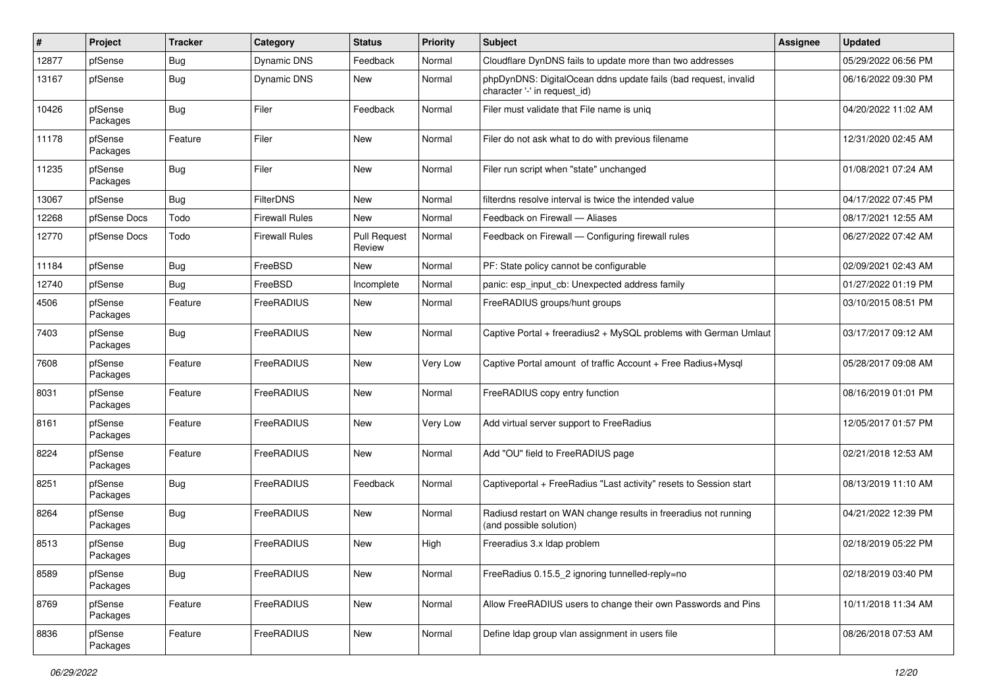| #     | Project             | <b>Tracker</b> | Category              | <b>Status</b>                 | <b>Priority</b> | <b>Subject</b>                                                                                  | Assignee | <b>Updated</b>      |
|-------|---------------------|----------------|-----------------------|-------------------------------|-----------------|-------------------------------------------------------------------------------------------------|----------|---------------------|
| 12877 | pfSense             | <b>Bug</b>     | Dynamic DNS           | Feedback                      | Normal          | Cloudflare DynDNS fails to update more than two addresses                                       |          | 05/29/2022 06:56 PM |
| 13167 | pfSense             | <b>Bug</b>     | Dynamic DNS           | New                           | Normal          | phpDynDNS: DigitalOcean ddns update fails (bad request, invalid<br>character '-' in request id) |          | 06/16/2022 09:30 PM |
| 10426 | pfSense<br>Packages | <b>Bug</b>     | Filer                 | Feedback                      | Normal          | Filer must validate that File name is unig                                                      |          | 04/20/2022 11:02 AM |
| 11178 | pfSense<br>Packages | Feature        | Filer                 | New                           | Normal          | Filer do not ask what to do with previous filename                                              |          | 12/31/2020 02:45 AM |
| 11235 | pfSense<br>Packages | <b>Bug</b>     | Filer                 | New                           | Normal          | Filer run script when "state" unchanged                                                         |          | 01/08/2021 07:24 AM |
| 13067 | pfSense             | <b>Bug</b>     | <b>FilterDNS</b>      | New                           | Normal          | filterdns resolve interval is twice the intended value                                          |          | 04/17/2022 07:45 PM |
| 12268 | pfSense Docs        | Todo           | <b>Firewall Rules</b> | <b>New</b>                    | Normal          | Feedback on Firewall - Aliases                                                                  |          | 08/17/2021 12:55 AM |
| 12770 | pfSense Docs        | Todo           | <b>Firewall Rules</b> | <b>Pull Request</b><br>Review | Normal          | Feedback on Firewall - Configuring firewall rules                                               |          | 06/27/2022 07:42 AM |
| 11184 | pfSense             | <b>Bug</b>     | FreeBSD               | New                           | Normal          | PF: State policy cannot be configurable                                                         |          | 02/09/2021 02:43 AM |
| 12740 | pfSense             | <b>Bug</b>     | FreeBSD               | Incomplete                    | Normal          | panic: esp input cb: Unexpected address family                                                  |          | 01/27/2022 01:19 PM |
| 4506  | pfSense<br>Packages | Feature        | FreeRADIUS            | New                           | Normal          | FreeRADIUS groups/hunt groups                                                                   |          | 03/10/2015 08:51 PM |
| 7403  | pfSense<br>Packages | Bug            | FreeRADIUS            | New                           | Normal          | Captive Portal + freeradius2 + MySQL problems with German Umlaut                                |          | 03/17/2017 09:12 AM |
| 7608  | pfSense<br>Packages | Feature        | FreeRADIUS            | New                           | Very Low        | Captive Portal amount of traffic Account + Free Radius+Mysql                                    |          | 05/28/2017 09:08 AM |
| 8031  | pfSense<br>Packages | Feature        | FreeRADIUS            | New                           | Normal          | FreeRADIUS copy entry function                                                                  |          | 08/16/2019 01:01 PM |
| 8161  | pfSense<br>Packages | Feature        | FreeRADIUS            | <b>New</b>                    | Very Low        | Add virtual server support to FreeRadius                                                        |          | 12/05/2017 01:57 PM |
| 8224  | pfSense<br>Packages | Feature        | FreeRADIUS            | New                           | Normal          | Add "OU" field to FreeRADIUS page                                                               |          | 02/21/2018 12:53 AM |
| 8251  | pfSense<br>Packages | <b>Bug</b>     | FreeRADIUS            | Feedback                      | Normal          | Captiveportal + FreeRadius "Last activity" resets to Session start                              |          | 08/13/2019 11:10 AM |
| 8264  | pfSense<br>Packages | <b>Bug</b>     | FreeRADIUS            | New                           | Normal          | Radiusd restart on WAN change results in freeradius not running<br>(and possible solution)      |          | 04/21/2022 12:39 PM |
| 8513  | pfSense<br>Packages | Bug            | FreeRADIUS            | New                           | High            | Freeradius 3.x Idap problem                                                                     |          | 02/18/2019 05:22 PM |
| 8589  | pfSense<br>Packages | Bug            | FreeRADIUS            | New                           | Normal          | FreeRadius 0.15.5_2 ignoring tunnelled-reply=no                                                 |          | 02/18/2019 03:40 PM |
| 8769  | pfSense<br>Packages | Feature        | FreeRADIUS            | New                           | Normal          | Allow FreeRADIUS users to change their own Passwords and Pins                                   |          | 10/11/2018 11:34 AM |
| 8836  | pfSense<br>Packages | Feature        | FreeRADIUS            | New                           | Normal          | Define Idap group vlan assignment in users file                                                 |          | 08/26/2018 07:53 AM |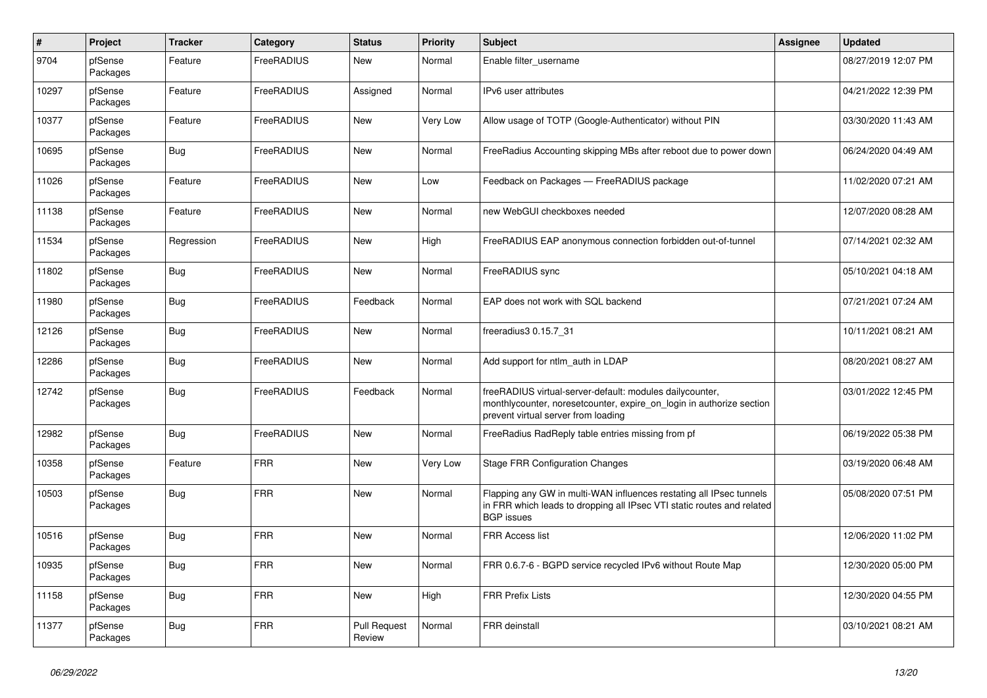| $\pmb{\#}$ | Project             | <b>Tracker</b> | Category   | <b>Status</b>                 | <b>Priority</b> | <b>Subject</b>                                                                                                                                                          | <b>Assignee</b> | <b>Updated</b>      |
|------------|---------------------|----------------|------------|-------------------------------|-----------------|-------------------------------------------------------------------------------------------------------------------------------------------------------------------------|-----------------|---------------------|
| 9704       | pfSense<br>Packages | Feature        | FreeRADIUS | <b>New</b>                    | Normal          | Enable filter_username                                                                                                                                                  |                 | 08/27/2019 12:07 PM |
| 10297      | pfSense<br>Packages | Feature        | FreeRADIUS | Assigned                      | Normal          | IPv6 user attributes                                                                                                                                                    |                 | 04/21/2022 12:39 PM |
| 10377      | pfSense<br>Packages | Feature        | FreeRADIUS | New                           | Very Low        | Allow usage of TOTP (Google-Authenticator) without PIN                                                                                                                  |                 | 03/30/2020 11:43 AM |
| 10695      | pfSense<br>Packages | <b>Bug</b>     | FreeRADIUS | <b>New</b>                    | Normal          | FreeRadius Accounting skipping MBs after reboot due to power down                                                                                                       |                 | 06/24/2020 04:49 AM |
| 11026      | pfSense<br>Packages | Feature        | FreeRADIUS | New                           | Low             | Feedback on Packages - FreeRADIUS package                                                                                                                               |                 | 11/02/2020 07:21 AM |
| 11138      | pfSense<br>Packages | Feature        | FreeRADIUS | New                           | Normal          | new WebGUI checkboxes needed                                                                                                                                            |                 | 12/07/2020 08:28 AM |
| 11534      | pfSense<br>Packages | Regression     | FreeRADIUS | <b>New</b>                    | High            | FreeRADIUS EAP anonymous connection forbidden out-of-tunnel                                                                                                             |                 | 07/14/2021 02:32 AM |
| 11802      | pfSense<br>Packages | Bug            | FreeRADIUS | New                           | Normal          | FreeRADIUS sync                                                                                                                                                         |                 | 05/10/2021 04:18 AM |
| 11980      | pfSense<br>Packages | Bug            | FreeRADIUS | Feedback                      | Normal          | EAP does not work with SQL backend                                                                                                                                      |                 | 07/21/2021 07:24 AM |
| 12126      | pfSense<br>Packages | Bug            | FreeRADIUS | New                           | Normal          | freeradius3 0.15.7_31                                                                                                                                                   |                 | 10/11/2021 08:21 AM |
| 12286      | pfSense<br>Packages | Bug            | FreeRADIUS | New                           | Normal          | Add support for ntlm auth in LDAP                                                                                                                                       |                 | 08/20/2021 08:27 AM |
| 12742      | pfSense<br>Packages | Bug            | FreeRADIUS | Feedback                      | Normal          | freeRADIUS virtual-server-default: modules dailycounter,<br>monthlycounter, noresetcounter, expire on login in authorize section<br>prevent virtual server from loading |                 | 03/01/2022 12:45 PM |
| 12982      | pfSense<br>Packages | <b>Bug</b>     | FreeRADIUS | <b>New</b>                    | Normal          | FreeRadius RadReply table entries missing from pf                                                                                                                       |                 | 06/19/2022 05:38 PM |
| 10358      | pfSense<br>Packages | Feature        | <b>FRR</b> | <b>New</b>                    | Very Low        | <b>Stage FRR Configuration Changes</b>                                                                                                                                  |                 | 03/19/2020 06:48 AM |
| 10503      | pfSense<br>Packages | <b>Bug</b>     | <b>FRR</b> | New                           | Normal          | Flapping any GW in multi-WAN influences restating all IPsec tunnels<br>in FRR which leads to dropping all IPsec VTI static routes and related<br><b>BGP</b> issues      |                 | 05/08/2020 07:51 PM |
| 10516      | pfSense<br>Packages | <b>Bug</b>     | <b>FRR</b> | <b>New</b>                    | Normal          | FRR Access list                                                                                                                                                         |                 | 12/06/2020 11:02 PM |
| 10935      | pfSense<br>Packages | Bug            | <b>FRR</b> | <b>New</b>                    | Normal          | FRR 0.6.7-6 - BGPD service recycled IPv6 without Route Map                                                                                                              |                 | 12/30/2020 05:00 PM |
| 11158      | pfSense<br>Packages | <b>Bug</b>     | <b>FRR</b> | New                           | High            | <b>FRR Prefix Lists</b>                                                                                                                                                 |                 | 12/30/2020 04:55 PM |
| 11377      | pfSense<br>Packages | <b>Bug</b>     | <b>FRR</b> | <b>Pull Request</b><br>Review | Normal          | FRR deinstall                                                                                                                                                           |                 | 03/10/2021 08:21 AM |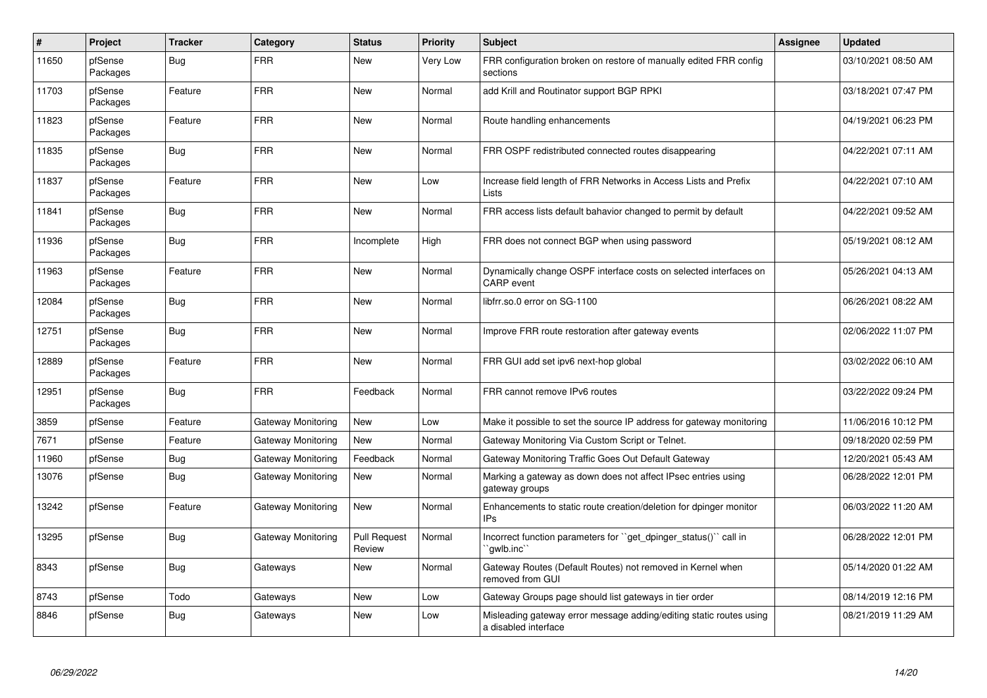| $\pmb{\#}$ | Project             | <b>Tracker</b> | Category                  | <b>Status</b>          | <b>Priority</b> | <b>Subject</b>                                                                              | <b>Assignee</b> | <b>Updated</b>      |
|------------|---------------------|----------------|---------------------------|------------------------|-----------------|---------------------------------------------------------------------------------------------|-----------------|---------------------|
| 11650      | pfSense<br>Packages | Bug            | <b>FRR</b>                | <b>New</b>             | <b>Very Low</b> | FRR configuration broken on restore of manually edited FRR config<br>sections               |                 | 03/10/2021 08:50 AM |
| 11703      | pfSense<br>Packages | Feature        | <b>FRR</b>                | New                    | Normal          | add Krill and Routinator support BGP RPKI                                                   |                 | 03/18/2021 07:47 PM |
| 11823      | pfSense<br>Packages | Feature        | <b>FRR</b>                | <b>New</b>             | Normal          | Route handling enhancements                                                                 |                 | 04/19/2021 06:23 PM |
| 11835      | pfSense<br>Packages | <b>Bug</b>     | <b>FRR</b>                | <b>New</b>             | Normal          | FRR OSPF redistributed connected routes disappearing                                        |                 | 04/22/2021 07:11 AM |
| 11837      | pfSense<br>Packages | Feature        | <b>FRR</b>                | <b>New</b>             | Low             | Increase field length of FRR Networks in Access Lists and Prefix<br>Lists                   |                 | 04/22/2021 07:10 AM |
| 11841      | pfSense<br>Packages | Bug            | <b>FRR</b>                | <b>New</b>             | Normal          | FRR access lists default bahavior changed to permit by default                              |                 | 04/22/2021 09:52 AM |
| 11936      | pfSense<br>Packages | <b>Bug</b>     | <b>FRR</b>                | Incomplete             | High            | FRR does not connect BGP when using password                                                |                 | 05/19/2021 08:12 AM |
| 11963      | pfSense<br>Packages | Feature        | <b>FRR</b>                | <b>New</b>             | Normal          | Dynamically change OSPF interface costs on selected interfaces on<br><b>CARP</b> event      |                 | 05/26/2021 04:13 AM |
| 12084      | pfSense<br>Packages | <b>Bug</b>     | <b>FRR</b>                | <b>New</b>             | Normal          | libfrr.so.0 error on SG-1100                                                                |                 | 06/26/2021 08:22 AM |
| 12751      | pfSense<br>Packages | <b>Bug</b>     | <b>FRR</b>                | <b>New</b>             | Normal          | Improve FRR route restoration after gateway events                                          |                 | 02/06/2022 11:07 PM |
| 12889      | pfSense<br>Packages | Feature        | <b>FRR</b>                | New                    | Normal          | FRR GUI add set ipv6 next-hop global                                                        |                 | 03/02/2022 06:10 AM |
| 12951      | pfSense<br>Packages | Bug            | <b>FRR</b>                | Feedback               | Normal          | FRR cannot remove IPv6 routes                                                               |                 | 03/22/2022 09:24 PM |
| 3859       | pfSense             | Feature        | <b>Gateway Monitoring</b> | <b>New</b>             | Low             | Make it possible to set the source IP address for gateway monitoring                        |                 | 11/06/2016 10:12 PM |
| 7671       | pfSense             | Feature        | Gateway Monitoring        | <b>New</b>             | Normal          | Gateway Monitoring Via Custom Script or Telnet.                                             |                 | 09/18/2020 02:59 PM |
| 11960      | pfSense             | Bug            | Gateway Monitoring        | Feedback               | Normal          | Gateway Monitoring Traffic Goes Out Default Gateway                                         |                 | 12/20/2021 05:43 AM |
| 13076      | pfSense             | Bug            | Gateway Monitoring        | <b>New</b>             | Normal          | Marking a gateway as down does not affect IPsec entries using<br>gateway groups             |                 | 06/28/2022 12:01 PM |
| 13242      | pfSense             | Feature        | Gateway Monitoring        | New                    | Normal          | Enhancements to static route creation/deletion for dpinger monitor<br>IP <sub>S</sub>       |                 | 06/03/2022 11:20 AM |
| 13295      | pfSense             | Bug            | Gateway Monitoring        | Pull Request<br>Review | Normal          | Incorrect function parameters for "get_dpinger_status()" call in<br>`qwlb.inc``             |                 | 06/28/2022 12:01 PM |
| 8343       | pfSense             | <b>Bug</b>     | Gateways                  | New                    | Normal          | Gateway Routes (Default Routes) not removed in Kernel when<br>removed from GUI              |                 | 05/14/2020 01:22 AM |
| 8743       | pfSense             | Todo           | Gateways                  | <b>New</b>             | Low             | Gateway Groups page should list gateways in tier order                                      |                 | 08/14/2019 12:16 PM |
| 8846       | pfSense             | Bug            | Gateways                  | <b>New</b>             | Low             | Misleading gateway error message adding/editing static routes using<br>a disabled interface |                 | 08/21/2019 11:29 AM |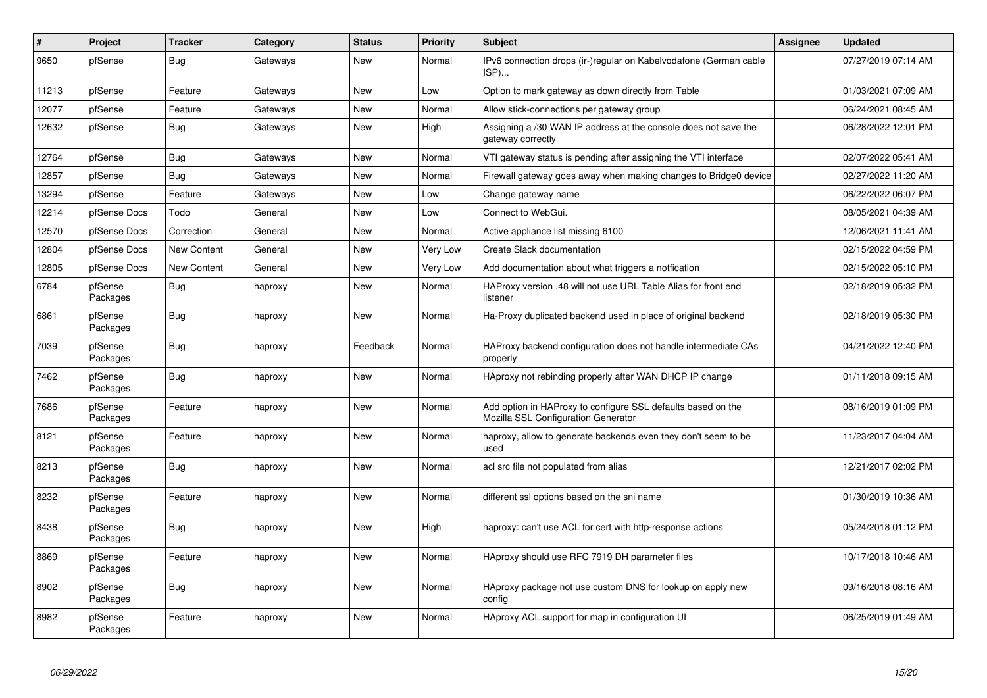| #     | Project             | <b>Tracker</b> | Category | <b>Status</b> | <b>Priority</b> | <b>Subject</b>                                                                                      | Assignee | <b>Updated</b>      |
|-------|---------------------|----------------|----------|---------------|-----------------|-----------------------------------------------------------------------------------------------------|----------|---------------------|
| 9650  | pfSense             | <b>Bug</b>     | Gateways | New           | Normal          | IPv6 connection drops (ir-)regular on Kabelvodafone (German cable<br>ISP)                           |          | 07/27/2019 07:14 AM |
| 11213 | pfSense             | Feature        | Gateways | New           | Low             | Option to mark gateway as down directly from Table                                                  |          | 01/03/2021 07:09 AM |
| 12077 | pfSense             | Feature        | Gateways | <b>New</b>    | Normal          | Allow stick-connections per gateway group                                                           |          | 06/24/2021 08:45 AM |
| 12632 | pfSense             | <b>Bug</b>     | Gateways | New           | High            | Assigning a /30 WAN IP address at the console does not save the<br>gateway correctly                |          | 06/28/2022 12:01 PM |
| 12764 | pfSense             | <b>Bug</b>     | Gateways | <b>New</b>    | Normal          | VTI gateway status is pending after assigning the VTI interface                                     |          | 02/07/2022 05:41 AM |
| 12857 | pfSense             | Bug            | Gateways | <b>New</b>    | Normal          | Firewall gateway goes away when making changes to Bridge0 device                                    |          | 02/27/2022 11:20 AM |
| 13294 | pfSense             | Feature        | Gateways | New           | Low             | Change gateway name                                                                                 |          | 06/22/2022 06:07 PM |
| 12214 | pfSense Docs        | Todo           | General  | <b>New</b>    | Low             | Connect to WebGui.                                                                                  |          | 08/05/2021 04:39 AM |
| 12570 | pfSense Docs        | Correction     | General  | New           | Normal          | Active appliance list missing 6100                                                                  |          | 12/06/2021 11:41 AM |
| 12804 | pfSense Docs        | New Content    | General  | <b>New</b>    | Very Low        | Create Slack documentation                                                                          |          | 02/15/2022 04:59 PM |
| 12805 | pfSense Docs        | New Content    | General  | New           | Very Low        | Add documentation about what triggers a notfication                                                 |          | 02/15/2022 05:10 PM |
| 6784  | pfSense<br>Packages | Bug            | haproxy  | New           | Normal          | HAProxy version .48 will not use URL Table Alias for front end<br>listener                          |          | 02/18/2019 05:32 PM |
| 6861  | pfSense<br>Packages | Bug            | haproxy  | <b>New</b>    | Normal          | Ha-Proxy duplicated backend used in place of original backend                                       |          | 02/18/2019 05:30 PM |
| 7039  | pfSense<br>Packages | Bug            | haproxy  | Feedback      | Normal          | HAProxy backend configuration does not handle intermediate CAs<br>properly                          |          | 04/21/2022 12:40 PM |
| 7462  | pfSense<br>Packages | Bug            | haproxy  | <b>New</b>    | Normal          | HAproxy not rebinding properly after WAN DHCP IP change                                             |          | 01/11/2018 09:15 AM |
| 7686  | pfSense<br>Packages | Feature        | haproxy  | <b>New</b>    | Normal          | Add option in HAProxy to configure SSL defaults based on the<br>Mozilla SSL Configuration Generator |          | 08/16/2019 01:09 PM |
| 8121  | pfSense<br>Packages | Feature        | haproxy  | New           | Normal          | haproxy, allow to generate backends even they don't seem to be<br>used                              |          | 11/23/2017 04:04 AM |
| 8213  | pfSense<br>Packages | Bug            | haproxy  | New           | Normal          | acl src file not populated from alias                                                               |          | 12/21/2017 02:02 PM |
| 8232  | pfSense<br>Packages | Feature        | haproxy  | New           | Normal          | different ssl options based on the sni name                                                         |          | 01/30/2019 10:36 AM |
| 8438  | pfSense<br>Packages | Bug            | haproxy  | <b>New</b>    | High            | haproxy: can't use ACL for cert with http-response actions                                          |          | 05/24/2018 01:12 PM |
| 8869  | pfSense<br>Packages | Feature        | haproxy  | <b>New</b>    | Normal          | HAproxy should use RFC 7919 DH parameter files                                                      |          | 10/17/2018 10:46 AM |
| 8902  | pfSense<br>Packages | Bug            | haproxy  | <b>New</b>    | Normal          | HAproxy package not use custom DNS for lookup on apply new<br>config                                |          | 09/16/2018 08:16 AM |
| 8982  | pfSense<br>Packages | Feature        | haproxy  | <b>New</b>    | Normal          | HAproxy ACL support for map in configuration UI                                                     |          | 06/25/2019 01:49 AM |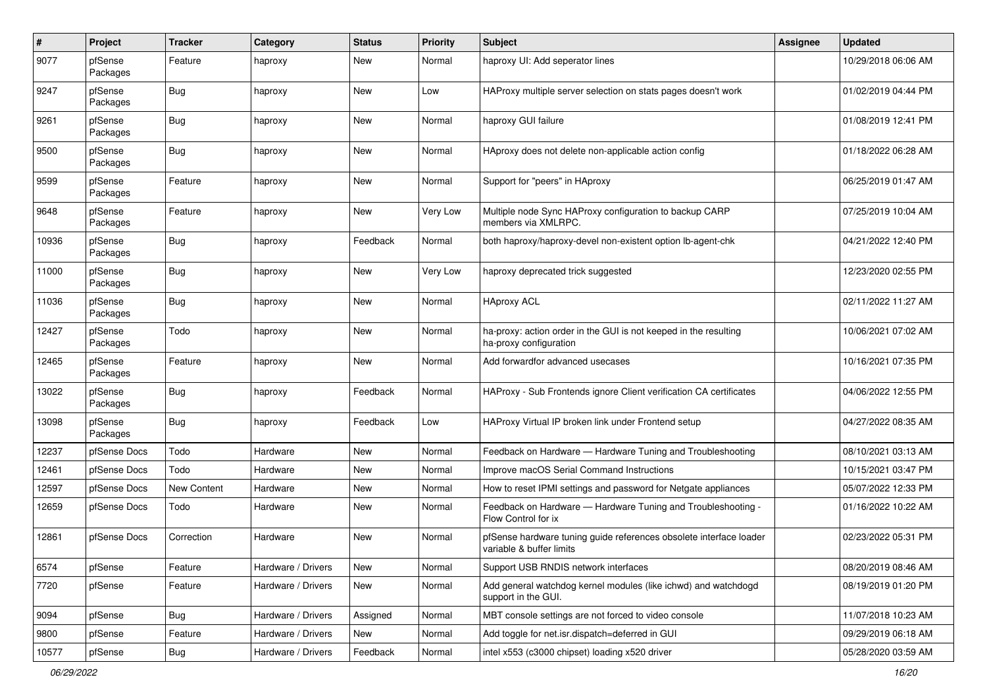| $\#$  | Project             | <b>Tracker</b> | Category           | <b>Status</b> | <b>Priority</b> | <b>Subject</b>                                                                                 | Assignee | <b>Updated</b>      |
|-------|---------------------|----------------|--------------------|---------------|-----------------|------------------------------------------------------------------------------------------------|----------|---------------------|
| 9077  | pfSense<br>Packages | Feature        | haproxy            | New           | Normal          | haproxy UI: Add seperator lines                                                                |          | 10/29/2018 06:06 AM |
| 9247  | pfSense<br>Packages | <b>Bug</b>     | haproxy            | New           | Low             | HAProxy multiple server selection on stats pages doesn't work                                  |          | 01/02/2019 04:44 PM |
| 9261  | pfSense<br>Packages | <b>Bug</b>     | haproxy            | New           | Normal          | haproxy GUI failure                                                                            |          | 01/08/2019 12:41 PM |
| 9500  | pfSense<br>Packages | Bug            | haproxy            | New           | Normal          | HAproxy does not delete non-applicable action config                                           |          | 01/18/2022 06:28 AM |
| 9599  | pfSense<br>Packages | Feature        | haproxy            | New           | Normal          | Support for "peers" in HAproxy                                                                 |          | 06/25/2019 01:47 AM |
| 9648  | pfSense<br>Packages | Feature        | haproxy            | New           | Very Low        | Multiple node Sync HAProxy configuration to backup CARP<br>members via XMLRPC.                 |          | 07/25/2019 10:04 AM |
| 10936 | pfSense<br>Packages | <b>Bug</b>     | haproxy            | Feedback      | Normal          | both haproxy/haproxy-devel non-existent option lb-agent-chk                                    |          | 04/21/2022 12:40 PM |
| 11000 | pfSense<br>Packages | <b>Bug</b>     | haproxy            | New           | Very Low        | haproxy deprecated trick suggested                                                             |          | 12/23/2020 02:55 PM |
| 11036 | pfSense<br>Packages | <b>Bug</b>     | haproxy            | New           | Normal          | <b>HAproxy ACL</b>                                                                             |          | 02/11/2022 11:27 AM |
| 12427 | pfSense<br>Packages | Todo           | haproxy            | New           | Normal          | ha-proxy: action order in the GUI is not keeped in the resulting<br>ha-proxy configuration     |          | 10/06/2021 07:02 AM |
| 12465 | pfSense<br>Packages | Feature        | haproxy            | New           | Normal          | Add forwardfor advanced usecases                                                               |          | 10/16/2021 07:35 PM |
| 13022 | pfSense<br>Packages | <b>Bug</b>     | haproxy            | Feedback      | Normal          | HAProxy - Sub Frontends ignore Client verification CA certificates                             |          | 04/06/2022 12:55 PM |
| 13098 | pfSense<br>Packages | Bug            | haproxy            | Feedback      | Low             | HAProxy Virtual IP broken link under Frontend setup                                            |          | 04/27/2022 08:35 AM |
| 12237 | pfSense Docs        | Todo           | Hardware           | New           | Normal          | Feedback on Hardware - Hardware Tuning and Troubleshooting                                     |          | 08/10/2021 03:13 AM |
| 12461 | pfSense Docs        | Todo           | Hardware           | New           | Normal          | Improve macOS Serial Command Instructions                                                      |          | 10/15/2021 03:47 PM |
| 12597 | pfSense Docs        | New Content    | Hardware           | New           | Normal          | How to reset IPMI settings and password for Netgate appliances                                 |          | 05/07/2022 12:33 PM |
| 12659 | pfSense Docs        | Todo           | Hardware           | New           | Normal          | Feedback on Hardware - Hardware Tuning and Troubleshooting -<br>Flow Control for ix            |          | 01/16/2022 10:22 AM |
| 12861 | pfSense Docs        | Correction     | Hardware           | <b>New</b>    | Normal          | pfSense hardware tuning guide references obsolete interface loader<br>variable & buffer limits |          | 02/23/2022 05:31 PM |
| 6574  | pfSense             | Feature        | Hardware / Drivers | New           | Normal          | Support USB RNDIS network interfaces                                                           |          | 08/20/2019 08:46 AM |
| 7720  | pfSense             | Feature        | Hardware / Drivers | New           | Normal          | Add general watchdog kernel modules (like ichwd) and watchdogd<br>support in the GUI.          |          | 08/19/2019 01:20 PM |
| 9094  | pfSense             | Bug            | Hardware / Drivers | Assigned      | Normal          | MBT console settings are not forced to video console                                           |          | 11/07/2018 10:23 AM |
| 9800  | pfSense             | Feature        | Hardware / Drivers | New           | Normal          | Add toggle for net.isr.dispatch=deferred in GUI                                                |          | 09/29/2019 06:18 AM |
| 10577 | pfSense             | i Bug          | Hardware / Drivers | Feedback      | Normal          | intel x553 (c3000 chipset) loading x520 driver                                                 |          | 05/28/2020 03:59 AM |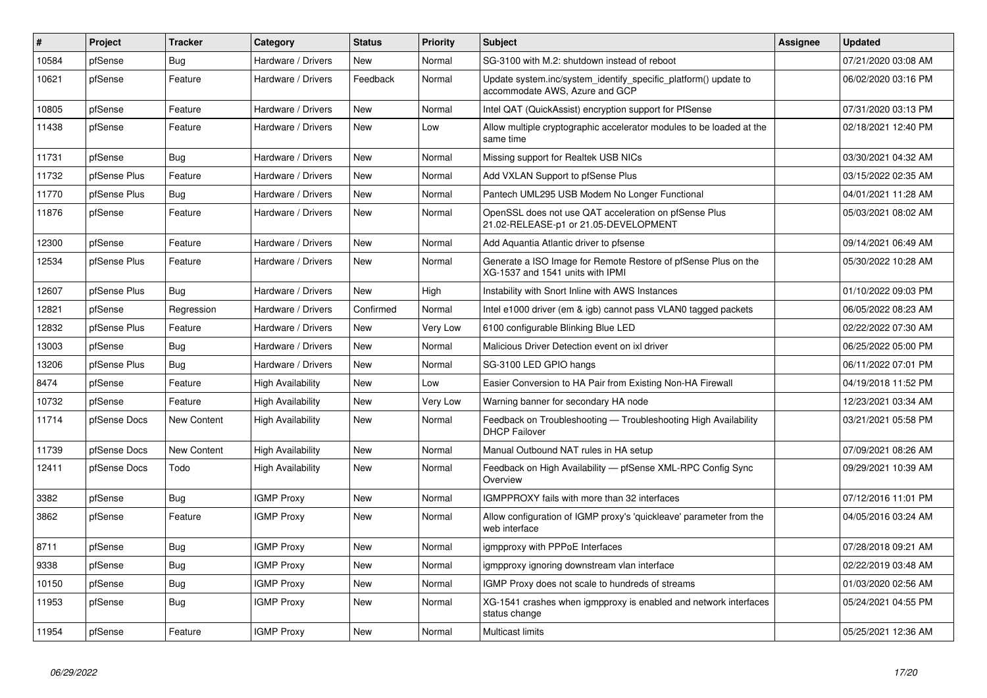| $\sharp$ | Project      | <b>Tracker</b>     | Category                 | <b>Status</b> | <b>Priority</b> | <b>Subject</b>                                                                                     | <b>Assignee</b> | <b>Updated</b>      |
|----------|--------------|--------------------|--------------------------|---------------|-----------------|----------------------------------------------------------------------------------------------------|-----------------|---------------------|
| 10584    | pfSense      | <b>Bug</b>         | Hardware / Drivers       | <b>New</b>    | Normal          | SG-3100 with M.2: shutdown instead of reboot                                                       |                 | 07/21/2020 03:08 AM |
| 10621    | pfSense      | Feature            | Hardware / Drivers       | Feedback      | Normal          | Update system.inc/system_identify_specific_platform() update to<br>accommodate AWS, Azure and GCP  |                 | 06/02/2020 03:16 PM |
| 10805    | pfSense      | Feature            | Hardware / Drivers       | <b>New</b>    | Normal          | Intel QAT (QuickAssist) encryption support for PfSense                                             |                 | 07/31/2020 03:13 PM |
| 11438    | pfSense      | Feature            | Hardware / Drivers       | <b>New</b>    | Low             | Allow multiple cryptographic accelerator modules to be loaded at the<br>same time                  |                 | 02/18/2021 12:40 PM |
| 11731    | pfSense      | Bug                | Hardware / Drivers       | <b>New</b>    | Normal          | Missing support for Realtek USB NICs                                                               |                 | 03/30/2021 04:32 AM |
| 11732    | pfSense Plus | Feature            | Hardware / Drivers       | New           | Normal          | Add VXLAN Support to pfSense Plus                                                                  |                 | 03/15/2022 02:35 AM |
| 11770    | pfSense Plus | Bug                | Hardware / Drivers       | New           | Normal          | Pantech UML295 USB Modem No Longer Functional                                                      |                 | 04/01/2021 11:28 AM |
| 11876    | pfSense      | Feature            | Hardware / Drivers       | <b>New</b>    | Normal          | OpenSSL does not use QAT acceleration on pfSense Plus<br>21.02-RELEASE-p1 or 21.05-DEVELOPMENT     |                 | 05/03/2021 08:02 AM |
| 12300    | pfSense      | Feature            | Hardware / Drivers       | New           | Normal          | Add Aquantia Atlantic driver to pfsense                                                            |                 | 09/14/2021 06:49 AM |
| 12534    | pfSense Plus | Feature            | Hardware / Drivers       | <b>New</b>    | Normal          | Generate a ISO Image for Remote Restore of pfSense Plus on the<br>XG-1537 and 1541 units with IPMI |                 | 05/30/2022 10:28 AM |
| 12607    | pfSense Plus | Bug                | Hardware / Drivers       | <b>New</b>    | High            | Instability with Snort Inline with AWS Instances                                                   |                 | 01/10/2022 09:03 PM |
| 12821    | pfSense      | Regression         | Hardware / Drivers       | Confirmed     | Normal          | Intel e1000 driver (em & igb) cannot pass VLAN0 tagged packets                                     |                 | 06/05/2022 08:23 AM |
| 12832    | pfSense Plus | Feature            | Hardware / Drivers       | <b>New</b>    | Very Low        | 6100 configurable Blinking Blue LED                                                                |                 | 02/22/2022 07:30 AM |
| 13003    | pfSense      | Bug                | Hardware / Drivers       | New           | Normal          | Malicious Driver Detection event on ixl driver                                                     |                 | 06/25/2022 05:00 PM |
| 13206    | pfSense Plus | Bug                | Hardware / Drivers       | New           | Normal          | SG-3100 LED GPIO hangs                                                                             |                 | 06/11/2022 07:01 PM |
| 8474     | pfSense      | Feature            | <b>High Availability</b> | <b>New</b>    | Low             | Easier Conversion to HA Pair from Existing Non-HA Firewall                                         |                 | 04/19/2018 11:52 PM |
| 10732    | pfSense      | Feature            | <b>High Availability</b> | New           | Very Low        | Warning banner for secondary HA node                                                               |                 | 12/23/2021 03:34 AM |
| 11714    | pfSense Docs | New Content        | High Availability        | New           | Normal          | Feedback on Troubleshooting — Troubleshooting High Availability<br><b>DHCP Failover</b>            |                 | 03/21/2021 05:58 PM |
| 11739    | pfSense Docs | <b>New Content</b> | <b>High Availability</b> | <b>New</b>    | Normal          | Manual Outbound NAT rules in HA setup                                                              |                 | 07/09/2021 08:26 AM |
| 12411    | pfSense Docs | Todo               | High Availability        | <b>New</b>    | Normal          | Feedback on High Availability - pfSense XML-RPC Config Sync<br>Overview                            |                 | 09/29/2021 10:39 AM |
| 3382     | pfSense      | <b>Bug</b>         | <b>IGMP Proxy</b>        | <b>New</b>    | Normal          | IGMPPROXY fails with more than 32 interfaces                                                       |                 | 07/12/2016 11:01 PM |
| 3862     | pfSense      | Feature            | <b>IGMP Proxy</b>        | <b>New</b>    | Normal          | Allow configuration of IGMP proxy's 'quickleave' parameter from the<br>web interface               |                 | 04/05/2016 03:24 AM |
| 8711     | pfSense      | <b>Bug</b>         | <b>IGMP Proxy</b>        | <b>New</b>    | Normal          | igmpproxy with PPPoE Interfaces                                                                    |                 | 07/28/2018 09:21 AM |
| 9338     | pfSense      | <b>Bug</b>         | <b>IGMP Proxy</b>        | <b>New</b>    | Normal          | igmpproxy ignoring downstream vlan interface                                                       |                 | 02/22/2019 03:48 AM |
| 10150    | pfSense      | <b>Bug</b>         | <b>IGMP Proxy</b>        | New           | Normal          | IGMP Proxy does not scale to hundreds of streams                                                   |                 | 01/03/2020 02:56 AM |
| 11953    | pfSense      | Bug                | <b>IGMP Proxy</b>        | <b>New</b>    | Normal          | XG-1541 crashes when igmpproxy is enabled and network interfaces<br>status change                  |                 | 05/24/2021 04:55 PM |
| 11954    | pfSense      | Feature            | <b>IGMP Proxy</b>        | New           | Normal          | <b>Multicast limits</b>                                                                            |                 | 05/25/2021 12:36 AM |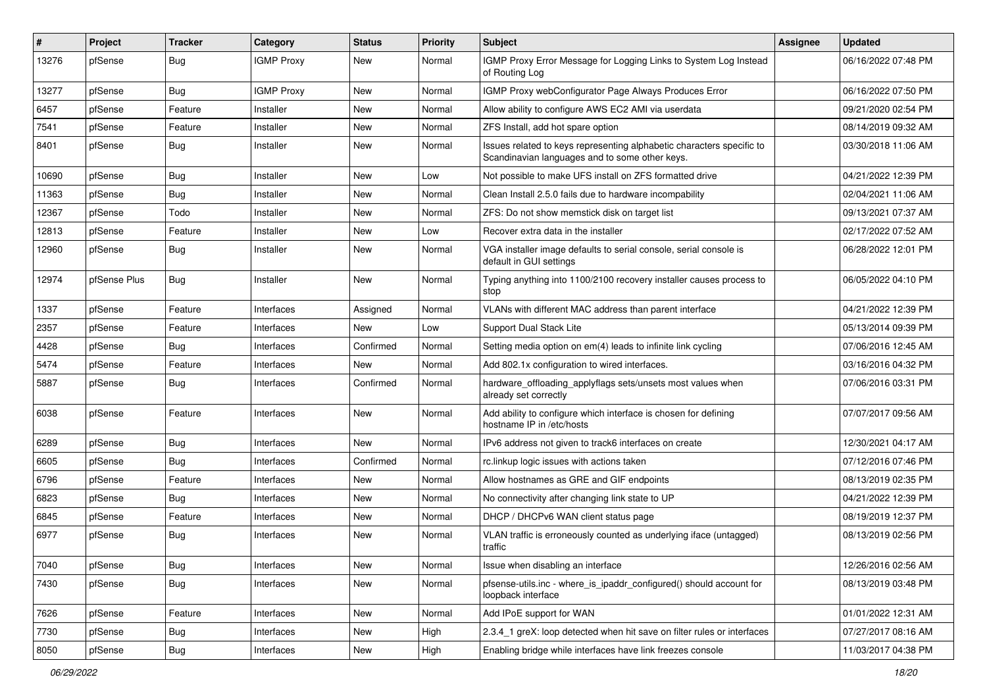| #     | Project      | <b>Tracker</b> | Category          | <b>Status</b> | <b>Priority</b> | Subject                                                                                                                 | Assignee | <b>Updated</b>      |
|-------|--------------|----------------|-------------------|---------------|-----------------|-------------------------------------------------------------------------------------------------------------------------|----------|---------------------|
| 13276 | pfSense      | <b>Bug</b>     | <b>IGMP Proxy</b> | New           | Normal          | IGMP Proxy Error Message for Logging Links to System Log Instead<br>of Routing Log                                      |          | 06/16/2022 07:48 PM |
| 13277 | pfSense      | <b>Bug</b>     | <b>IGMP Proxy</b> | New           | Normal          | IGMP Proxy webConfigurator Page Always Produces Error                                                                   |          | 06/16/2022 07:50 PM |
| 6457  | pfSense      | Feature        | Installer         | New           | Normal          | Allow ability to configure AWS EC2 AMI via userdata                                                                     |          | 09/21/2020 02:54 PM |
| 7541  | pfSense      | Feature        | Installer         | New           | Normal          | ZFS Install, add hot spare option                                                                                       |          | 08/14/2019 09:32 AM |
| 8401  | pfSense      | <b>Bug</b>     | Installer         | New           | Normal          | Issues related to keys representing alphabetic characters specific to<br>Scandinavian languages and to some other keys. |          | 03/30/2018 11:06 AM |
| 10690 | pfSense      | <b>Bug</b>     | Installer         | <b>New</b>    | Low             | Not possible to make UFS install on ZFS formatted drive                                                                 |          | 04/21/2022 12:39 PM |
| 11363 | pfSense      | <b>Bug</b>     | Installer         | New           | Normal          | Clean Install 2.5.0 fails due to hardware incompability                                                                 |          | 02/04/2021 11:06 AM |
| 12367 | pfSense      | Todo           | Installer         | <b>New</b>    | Normal          | ZFS: Do not show memstick disk on target list                                                                           |          | 09/13/2021 07:37 AM |
| 12813 | pfSense      | Feature        | Installer         | New           | Low             | Recover extra data in the installer                                                                                     |          | 02/17/2022 07:52 AM |
| 12960 | pfSense      | <b>Bug</b>     | Installer         | New           | Normal          | VGA installer image defaults to serial console, serial console is<br>default in GUI settings                            |          | 06/28/2022 12:01 PM |
| 12974 | pfSense Plus | <b>Bug</b>     | Installer         | New           | Normal          | Typing anything into 1100/2100 recovery installer causes process to<br>stop                                             |          | 06/05/2022 04:10 PM |
| 1337  | pfSense      | Feature        | Interfaces        | Assigned      | Normal          | VLANs with different MAC address than parent interface                                                                  |          | 04/21/2022 12:39 PM |
| 2357  | pfSense      | Feature        | Interfaces        | New           | Low             | Support Dual Stack Lite                                                                                                 |          | 05/13/2014 09:39 PM |
| 4428  | pfSense      | <b>Bug</b>     | Interfaces        | Confirmed     | Normal          | Setting media option on em(4) leads to infinite link cycling                                                            |          | 07/06/2016 12:45 AM |
| 5474  | pfSense      | Feature        | Interfaces        | New           | Normal          | Add 802.1x configuration to wired interfaces.                                                                           |          | 03/16/2016 04:32 PM |
| 5887  | pfSense      | <b>Bug</b>     | Interfaces        | Confirmed     | Normal          | hardware_offloading_applyflags sets/unsets most values when<br>already set correctly                                    |          | 07/06/2016 03:31 PM |
| 6038  | pfSense      | Feature        | Interfaces        | New           | Normal          | Add ability to configure which interface is chosen for defining<br>hostname IP in /etc/hosts                            |          | 07/07/2017 09:56 AM |
| 6289  | pfSense      | <b>Bug</b>     | Interfaces        | <b>New</b>    | Normal          | IPv6 address not given to track6 interfaces on create                                                                   |          | 12/30/2021 04:17 AM |
| 6605  | pfSense      | Bug            | Interfaces        | Confirmed     | Normal          | rc.linkup logic issues with actions taken                                                                               |          | 07/12/2016 07:46 PM |
| 6796  | pfSense      | Feature        | Interfaces        | <b>New</b>    | Normal          | Allow hostnames as GRE and GIF endpoints                                                                                |          | 08/13/2019 02:35 PM |
| 6823  | pfSense      | Bug            | Interfaces        | New           | Normal          | No connectivity after changing link state to UP                                                                         |          | 04/21/2022 12:39 PM |
| 6845  | pfSense      | Feature        | Interfaces        | New           | Normal          | DHCP / DHCPv6 WAN client status page                                                                                    |          | 08/19/2019 12:37 PM |
| 6977  | pfSense      | <b>Bug</b>     | Interfaces        | New           | Normal          | VLAN traffic is erroneously counted as underlying iface (untagged)<br>traffic                                           |          | 08/13/2019 02:56 PM |
| 7040  | pfSense      | Bug            | Interfaces        | New           | Normal          | Issue when disabling an interface                                                                                       |          | 12/26/2016 02:56 AM |
| 7430  | pfSense      | <b>Bug</b>     | Interfaces        | New           | Normal          | pfsense-utils.inc - where_is_ipaddr_configured() should account for<br>loopback interface                               |          | 08/13/2019 03:48 PM |
| 7626  | pfSense      | Feature        | Interfaces        | New           | Normal          | Add IPoE support for WAN                                                                                                |          | 01/01/2022 12:31 AM |
| 7730  | pfSense      | Bug            | Interfaces        | New           | High            | 2.3.4_1 greX: loop detected when hit save on filter rules or interfaces                                                 |          | 07/27/2017 08:16 AM |
| 8050  | pfSense      | Bug            | Interfaces        | New           | High            | Enabling bridge while interfaces have link freezes console                                                              |          | 11/03/2017 04:38 PM |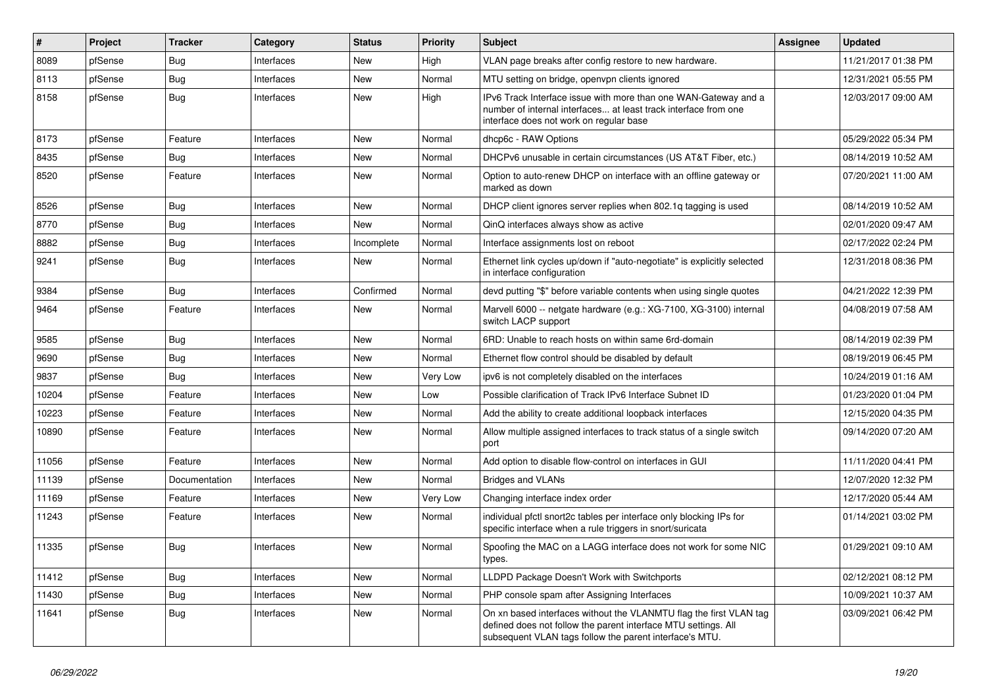| #     | Project | <b>Tracker</b> | Category   | <b>Status</b> | <b>Priority</b> | <b>Subject</b>                                                                                                                                                                                  | <b>Assignee</b> | <b>Updated</b>      |
|-------|---------|----------------|------------|---------------|-----------------|-------------------------------------------------------------------------------------------------------------------------------------------------------------------------------------------------|-----------------|---------------------|
| 8089  | pfSense | Bug            | Interfaces | New           | High            | VLAN page breaks after config restore to new hardware.                                                                                                                                          |                 | 11/21/2017 01:38 PM |
| 8113  | pfSense | Bug            | Interfaces | <b>New</b>    | Normal          | MTU setting on bridge, openypn clients ignored                                                                                                                                                  |                 | 12/31/2021 05:55 PM |
| 8158  | pfSense | Bug            | Interfaces | New           | High            | IPv6 Track Interface issue with more than one WAN-Gateway and a<br>number of internal interfaces at least track interface from one<br>interface does not work on regular base                   |                 | 12/03/2017 09:00 AM |
| 8173  | pfSense | Feature        | Interfaces | <b>New</b>    | Normal          | dhcp6c - RAW Options                                                                                                                                                                            |                 | 05/29/2022 05:34 PM |
| 8435  | pfSense | Bug            | Interfaces | <b>New</b>    | Normal          | DHCPv6 unusable in certain circumstances (US AT&T Fiber, etc.)                                                                                                                                  |                 | 08/14/2019 10:52 AM |
| 8520  | pfSense | Feature        | Interfaces | <b>New</b>    | Normal          | Option to auto-renew DHCP on interface with an offline gateway or<br>marked as down                                                                                                             |                 | 07/20/2021 11:00 AM |
| 8526  | pfSense | Bug            | Interfaces | <b>New</b>    | Normal          | DHCP client ignores server replies when 802.1q tagging is used                                                                                                                                  |                 | 08/14/2019 10:52 AM |
| 8770  | pfSense | Bug            | Interfaces | New           | Normal          | QinQ interfaces always show as active                                                                                                                                                           |                 | 02/01/2020 09:47 AM |
| 8882  | pfSense | <b>Bug</b>     | Interfaces | Incomplete    | Normal          | Interface assignments lost on reboot                                                                                                                                                            |                 | 02/17/2022 02:24 PM |
| 9241  | pfSense | Bug            | Interfaces | New           | Normal          | Ethernet link cycles up/down if "auto-negotiate" is explicitly selected<br>in interface configuration                                                                                           |                 | 12/31/2018 08:36 PM |
| 9384  | pfSense | Bug            | Interfaces | Confirmed     | Normal          | devd putting "\$" before variable contents when using single quotes                                                                                                                             |                 | 04/21/2022 12:39 PM |
| 9464  | pfSense | Feature        | Interfaces | New           | Normal          | Marvell 6000 -- netgate hardware (e.g.: XG-7100, XG-3100) internal<br>switch LACP support                                                                                                       |                 | 04/08/2019 07:58 AM |
| 9585  | pfSense | Bug            | Interfaces | <b>New</b>    | Normal          | 6RD: Unable to reach hosts on within same 6rd-domain                                                                                                                                            |                 | 08/14/2019 02:39 PM |
| 9690  | pfSense | <b>Bug</b>     | Interfaces | <b>New</b>    | Normal          | Ethernet flow control should be disabled by default                                                                                                                                             |                 | 08/19/2019 06:45 PM |
| 9837  | pfSense | Bug            | Interfaces | New           | Very Low        | ipv6 is not completely disabled on the interfaces                                                                                                                                               |                 | 10/24/2019 01:16 AM |
| 10204 | pfSense | Feature        | Interfaces | <b>New</b>    | Low             | Possible clarification of Track IPv6 Interface Subnet ID                                                                                                                                        |                 | 01/23/2020 01:04 PM |
| 10223 | pfSense | Feature        | Interfaces | <b>New</b>    | Normal          | Add the ability to create additional loopback interfaces                                                                                                                                        |                 | 12/15/2020 04:35 PM |
| 10890 | pfSense | Feature        | Interfaces | <b>New</b>    | Normal          | Allow multiple assigned interfaces to track status of a single switch<br>port                                                                                                                   |                 | 09/14/2020 07:20 AM |
| 11056 | pfSense | Feature        | Interfaces | New           | Normal          | Add option to disable flow-control on interfaces in GUI                                                                                                                                         |                 | 11/11/2020 04:41 PM |
| 11139 | pfSense | Documentation  | Interfaces | New           | Normal          | <b>Bridges and VLANs</b>                                                                                                                                                                        |                 | 12/07/2020 12:32 PM |
| 11169 | pfSense | Feature        | Interfaces | New           | Very Low        | Changing interface index order                                                                                                                                                                  |                 | 12/17/2020 05:44 AM |
| 11243 | pfSense | Feature        | Interfaces | New           | Normal          | individual pfctl snort2c tables per interface only blocking IPs for<br>specific interface when a rule triggers in snort/suricata                                                                |                 | 01/14/2021 03:02 PM |
| 11335 | pfSense | Bug            | Interfaces | <b>New</b>    | Normal          | Spoofing the MAC on a LAGG interface does not work for some NIC<br>types.                                                                                                                       |                 | 01/29/2021 09:10 AM |
| 11412 | pfSense | Bug            | Interfaces | New           | Normal          | LLDPD Package Doesn't Work with Switchports                                                                                                                                                     |                 | 02/12/2021 08:12 PM |
| 11430 | pfSense | <b>Bug</b>     | Interfaces | New           | Normal          | PHP console spam after Assigning Interfaces                                                                                                                                                     |                 | 10/09/2021 10:37 AM |
| 11641 | pfSense | <b>Bug</b>     | Interfaces | New           | Normal          | On xn based interfaces without the VLANMTU flag the first VLAN tag<br>defined does not follow the parent interface MTU settings. All<br>subsequent VLAN tags follow the parent interface's MTU. |                 | 03/09/2021 06:42 PM |